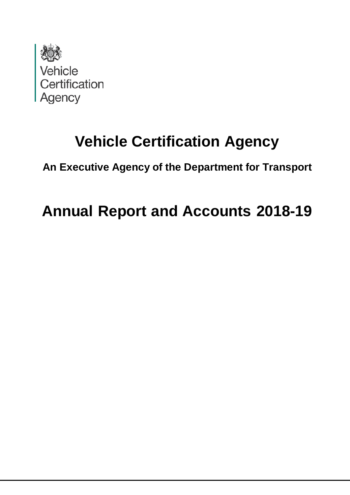

# **Vehicle Certification Agency**

**An Executive Agency of the Department for Transport**

# **Annual Report and Accounts 2018-19**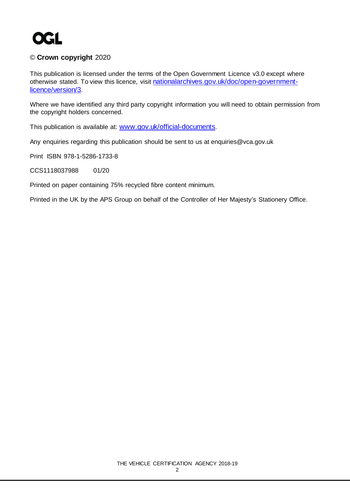

#### © **Crown copyright** 2020

This publication is licensed under the terms of the Open Government Licence v3.0 except where otherwise stated. To view this licence, visit [nationalarchives.gov.uk/doc/open-government](http://www.nationalarchives.gov.uk/doc/open-government-licence/version/3)[licence/version/3.](http://www.nationalarchives.gov.uk/doc/open-government-licence/version/3)

Where we have identified any third party copyright information you will need to obtain permission from the copyright holders concerned.

This publication is available at: [www.gov.uk/official-documents.](https://www.gov.uk/government/publications)

Any enquiries regarding this publication should be sent to us at enquiries@vca.gov.uk

Print ISBN 978-1-5286-1733-8

CCS1118037988 01/20

Printed on paper containing 75% recycled fibre content minimum.

Printed in the UK by the APS Group on behalf of the Controller of Her Majesty's Stationery Office.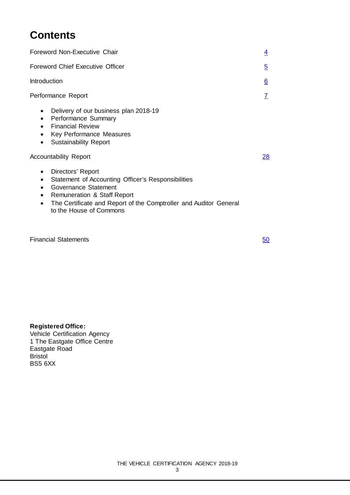## **Contents**

| Foreword Non-Executive Chair                                                                                                                                                                                                                                                                               | $\overline{4}$  |
|------------------------------------------------------------------------------------------------------------------------------------------------------------------------------------------------------------------------------------------------------------------------------------------------------------|-----------------|
| Foreword Chief Executive Officer                                                                                                                                                                                                                                                                           | $\overline{5}$  |
| Introduction                                                                                                                                                                                                                                                                                               | $\underline{6}$ |
| Performance Report                                                                                                                                                                                                                                                                                         | $\mathbf{Z}$    |
| Delivery of our business plan 2018-19<br>$\bullet$<br>Performance Summary<br>$\bullet$<br><b>Financial Review</b><br>$\bullet$<br>Key Performance Measures<br>$\bullet$<br><b>Sustainability Report</b><br>$\bullet$                                                                                       |                 |
| <b>Accountability Report</b>                                                                                                                                                                                                                                                                               | 28              |
| Directors' Report<br>$\bullet$<br>Statement of Accounting Officer's Responsibilities<br>$\bullet$<br>Governance Statement<br>$\bullet$<br><b>Remuneration &amp; Staff Report</b><br>$\bullet$<br>The Certificate and Report of the Comptroller and Auditor General<br>$\bullet$<br>to the House of Commons |                 |

Financial Statements **[50](#page-49-0)** 

### **Registered Office:**

Vehicle Certification Agency 1 The Eastgate Office Centre Eastgate Road Bristol BS5 6XX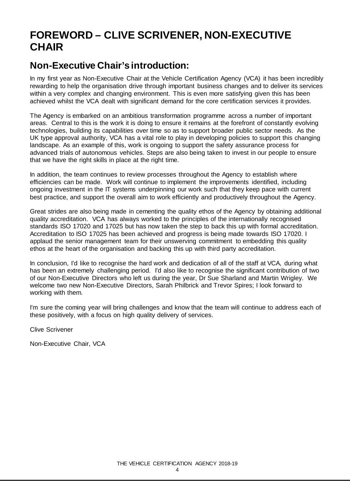## <span id="page-3-0"></span>**FOREWORD – CLIVE SCRIVENER, NON-EXECUTIVE CHAIR**

## **Non-Executive Chair's introduction:**

In my first year as Non-Executive Chair at the Vehicle Certification Agency (VCA) it has been incredibly rewarding to help the organisation drive through important business changes and to deliver its services within a very complex and changing environment. This is even more satisfying given this has been achieved whilst the VCA dealt with significant demand for the core certification services it provides.

The Agency is embarked on an ambitious transformation programme across a number of important areas. Central to this is the work it is doing to ensure it remains at the forefront of constantly evolving technologies, building its capabilities over time so as to support broader public sector needs. As the UK type approval authority, VCA has a vital role to play in developing policies to support this changing landscape. As an example of this, work is ongoing to support the safety assurance process for advanced trials of autonomous vehicles. Steps are also being taken to invest in our people to ensure that we have the right skills in place at the right time.

In addition, the team continues to review processes throughout the Agency to establish where efficiencies can be made. Work will continue to implement the improvements identified, including ongoing investment in the IT systems underpinning our work such that they keep pace with current best practice, and support the overall aim to work efficiently and productively throughout the Agency.

Great strides are also being made in cementing the quality ethos of the Agency by obtaining additional quality accreditation. VCA has always worked to the principles of the internationally recognised standards ISO 17020 and 17025 but has now taken the step to back this up with formal accreditation. Accreditation to ISO 17025 has been achieved and progress is being made towards ISO 17020. I applaud the senior management team for their unswerving commitment to embedding this quality ethos at the heart of the organisation and backing this up with third party accreditation.

In conclusion, I'd like to recognise the hard work and dedication of all of the staff at VCA, during what has been an extremely challenging period. I'd also like to recognise the significant contribution of two of our Non-Executive Directors who left us during the year, Dr Sue Sharland and Martin Wrigley. We welcome two new Non-Executive Directors, Sarah Philbrick and Trevor Spires; I look forward to working with them.

I'm sure the coming year will bring challenges and know that the team will continue to address each of these positively, with a focus on high quality delivery of services.

Clive Scrivener

Non-Executive Chair, VCA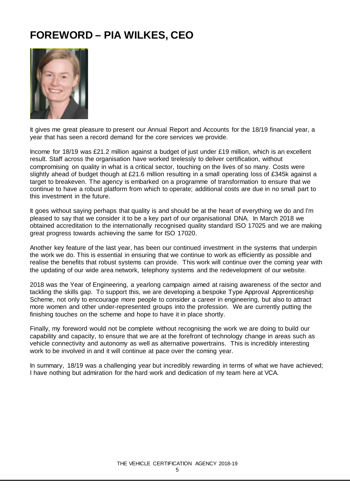## <span id="page-4-0"></span>**FOREWORD – PIA WILKES, CEO**



It gives me great pleasure to present our Annual Report and Accounts for the 18/19 financial year, a year that has seen a record demand for the core services we provide.

Income for 18/19 was £21.2 million against a budget of just under £19 million, which is an excellent result. Staff across the organisation have worked tirelessly to deliver certification, without compromising on quality in what is a critical sector, touching on the lives of so many. Costs were slightly ahead of budget though at £21.6 million resulting in a small operating loss of £345k against a target to breakeven. The agency is embarked on a programme of transformation to ensure that we continue to have a robust platform from which to operate; additional costs are due in no small part to this investment in the future.

It goes without saying perhaps that quality is and should be at the heart of everything we do and I'm pleased to say that we consider it to be a key part of our organisational DNA. In March 2018 we obtained accreditation to the internationally recognised quality standard ISO 17025 and we are making great progress towards achieving the same for ISO 17020.

Another key feature of the last year, has been our continued investment in the systems that underpin the work we do. This is essential in ensuring that we continue to work as efficiently as possible and realise the benefits that robust systems can provide. This work will continue over the coming year with the updating of our wide area network, telephony systems and the redevelopment of our website.

2018 was the Year of Engineering, a yearlong campaign aimed at raising awareness of the sector and tackling the skills gap. To support this, we are developing a bespoke Type Approval Apprenticeship Scheme, not only to encourage more people to consider a career in engineering, but also to attract more women and other under-represented groups into the profession. We are currently putting the finishing touches on the scheme and hope to have it in place shortly.

Finally, my foreword would not be complete without recognising the work we are doing to build our capability and capacity, to ensure that we are at the forefront of technology change in areas such as vehicle connectivity and autonomy as well as alternative powertrains. This is incredibly interesting work to be involved in and it will continue at pace over the coming year.

In summary, 18/19 was a challenging year but incredibly rewarding in terms of what we have achieved; I have nothing but admiration for the hard work and dedication of my team here at VCA.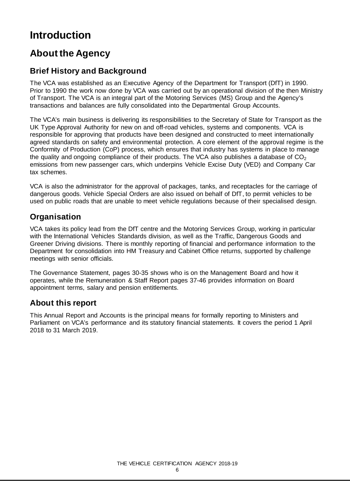## <span id="page-5-0"></span>**Introduction**

## **About the Agency**

### **Brief History and Background**

The VCA was established as an Executive Agency of the Department for Transport (DfT) in 1990. Prior to 1990 the work now done by VCA was carried out by an operational division of the then Ministry of Transport. The VCA is an integral part of the Motoring Services (MS) Group and the Agency's transactions and balances are fully consolidated into the Departmental Group Accounts.

The VCA's main business is delivering its responsibilities to the Secretary of State for Transport as the UK Type Approval Authority for new on and off-road vehicles, systems and components. VCA is responsible for approving that products have been designed and constructed to meet internationally agreed standards on safety and environmental protection. A core element of the approval regime is the Conformity of Production (CoP) process, which ensures that industry has systems in place to manage the quality and ongoing compliance of their products. The VCA also publishes a database of  $CO<sub>2</sub>$ emissions from new passenger cars, which underpins Vehicle Excise Duty (VED) and Company Car tax schemes.

VCA is also the administrator for the approval of packages, tanks, and receptacles for the carriage of dangerous goods. Vehicle Special Orders are also issued on behalf of DfT, to permit vehicles to be used on public roads that are unable to meet vehicle regulations because of their specialised design.

### **Organisation**

VCA takes its policy lead from the DfT centre and the Motoring Services Group, working in particular with the International Vehicles Standards division, as well as the Traffic, Dangerous Goods and Greener Driving divisions. There is monthly reporting of financial and performance information to the Department for consolidation into HM Treasury and Cabinet Office returns, supported by challenge meetings with senior officials.

The Governance Statement, pages 30-35 shows who is on the Management Board and how it operates, while the Remuneration & Staff Report pages 37-46 provides information on Board appointment terms, salary and pension entitlements.

### **About this report**

This Annual Report and Accounts is the principal means for formally reporting to Ministers and Parliament on VCA's performance and its statutory financial statements. It covers the period 1 April 2018 to 31 March 2019.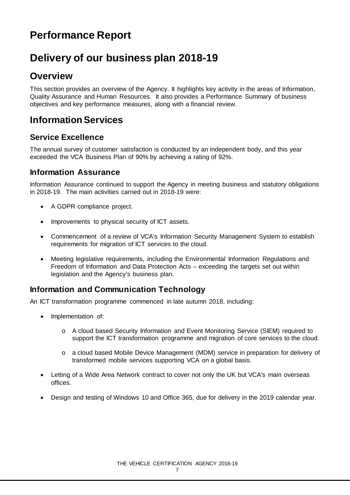## **Performance Report**

## <span id="page-6-0"></span>**Delivery of our business plan 2018-19**

## **Overview**

This section provides an overview of the Agency. It highlights key activity in the areas of Information, Quality Assurance and Human Resources. It also provides a Performance Summary of business objectives and key performance measures, along with a financial review.

## **Information Services**

### **Service Excellence**

The annual survey of customer satisfaction is conducted by an independent body, and this year exceeded the VCA Business Plan of 90% by achieving a rating of 92%.

### **Information Assurance**

Information Assurance continued to support the Agency in meeting business and statutory obligations in 2018-19. The main activities carried out in 2018-19 were:

- A GDPR compliance project.
- Improvements to physical security of ICT assets.
- Commencement of a review of VCA's Information Security Management System to establish requirements for migration of ICT services to the cloud.
- Meeting legislative requirements, including the Environmental Information Regulations and Freedom of Information and Data Protection Acts – exceeding the targets set out within legislation and the Agency's business plan.

### **Information and Communication Technology**

An ICT transformation programme commenced in late autumn 2018, including:

- Implementation of:
	- o A cloud based Security Information and Event Monitoring Service (SIEM) required to support the ICT transformation programme and migration of core services to the cloud.
	- o a cloud based Mobile Device Management (MDM) service in preparation for delivery of transformed mobile services supporting VCA on a global basis.
- Letting of a Wide Area Network contract to cover not only the UK but VCA's main overseas offices.
- Design and testing of Windows 10 and Office 365, due for delivery in the 2019 calendar year.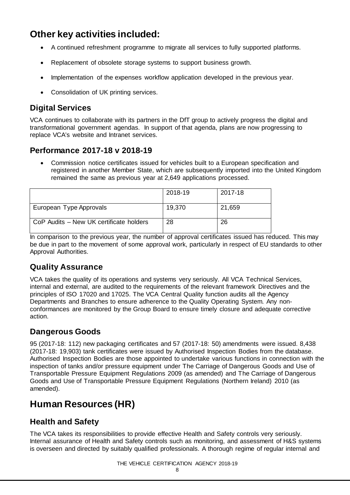## **Other key activities included:**

- A continued refreshment programme to migrate all services to fully supported platforms.
- Replacement of obsolete storage systems to support business growth.
- Implementation of the expenses workflow application developed in the previous year.
- Consolidation of UK printing services.

### **Digital Services**

VCA continues to collaborate with its partners in the DfT group to actively progress the digital and transformational government agendas. In support of that agenda, plans are now progressing to replace VCA's website and Intranet services.

### **Performance 2017-18 v 2018-19**

• Commission notice certificates issued for vehicles built to a European specification and registered in another Member State, which are subsequently imported into the United Kingdom remained the same as previous year at 2,649 applications processed.

|                                         | 2018-19 | 2017-18 |
|-----------------------------------------|---------|---------|
| European Type Approvals                 | 19,370  | 21,659  |
| CoP Audits - New UK certificate holders | 28      | 26      |

In comparison to the previous year, the number of approval certificates issued has reduced. This may be due in part to the movement of some approval work, particularly in respect of EU standards to other Approval Authorities.

### **Quality Assurance**

VCA takes the quality of its operations and systems very seriously. All VCA Technical Services, internal and external, are audited to the requirements of the relevant framework Directives and the principles of ISO 17020 and 17025. The VCA Central Quality function audits all the Agency Departments and Branches to ensure adherence to the Quality Operating System. Any nonconformances are monitored by the Group Board to ensure timely closure and adequate corrective action.

### **Dangerous Goods**

95 (2017-18: 112) new packaging certificates and 57 (2017-18: 50) amendments were issued. 8,438 (2017-18: 19,903) tank certificates were issued by Authorised Inspection Bodies from the database. Authorised Inspection Bodies are those appointed to undertake various functions in connection with the inspection of tanks and/or pressure equipment under The Carriage of Dangerous Goods and Use of Transportable Pressure Equipment Regulations 2009 (as amended) and The Carriage of Dangerous Goods and Use of Transportable Pressure Equipment Regulations (Northern Ireland) 2010 (as amended).

## **Human Resources (HR)**

### **Health and Safety**

The VCA takes its responsibilities to provide effective Health and Safety controls very seriously. Internal assurance of Health and Safety controls such as monitoring, and assessment of H&S systems is overseen and directed by suitably qualified professionals. A thorough regime of regular internal and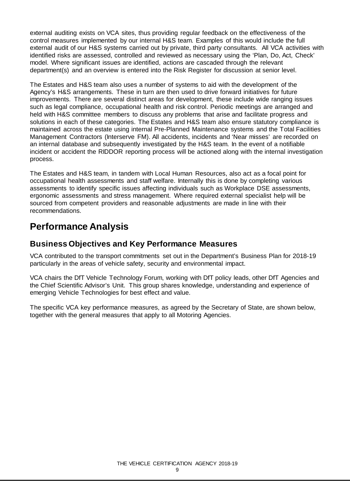external auditing exists on VCA sites, thus providing regular feedback on the effectiveness of the control measures implemented by our internal H&S team. Examples of this would include the full external audit of our H&S systems carried out by private, third party consultants. All VCA activities with identified risks are assessed, controlled and reviewed as necessary using the 'Plan, Do, Act, Check' model. Where significant issues are identified, actions are cascaded through the relevant department(s) and an overview is entered into the Risk Register for discussion at senior level.

The Estates and H&S team also uses a number of systems to aid with the development of the Agency's H&S arrangements. These in turn are then used to drive forward initiatives for future improvements. There are several distinct areas for development, these include wide ranging issues such as legal compliance, occupational health and risk control. Periodic meetings are arranged and held with H&S committee members to discuss any problems that arise and facilitate progress and solutions in each of these categories. The Estates and H&S team also ensure statutory compliance is maintained across the estate using internal Pre-Planned Maintenance systems and the Total Facilities Management Contractors (Interserve FM). All accidents, incidents and 'Near misses' are recorded on an internal database and subsequently investigated by the H&S team. In the event of a notifiable incident or accident the RIDDOR reporting process will be actioned along with the internal investigation process.

The Estates and H&S team, in tandem with Local Human Resources, also act as a focal point for occupational health assessments and staff welfare. Internally this is done by completing various assessments to identify specific issues affecting individuals such as Workplace DSE assessments, ergonomic assessments and stress management. Where required external specialist help will be sourced from competent providers and reasonable adjustments are made in line with their recommendations.

## **Performance Analysis**

### **Business Objectives and Key Performance Measures**

VCA contributed to the transport commitments set out in the Department's Business Plan for 2018-19 particularly in the areas of vehicle safety, security and environmental impact.

VCA chairs the DfT Vehicle Technology Forum, working with DfT policy leads, other DfT Agencies and the Chief Scientific Advisor's Unit. This group shares knowledge, understanding and experience of emerging Vehicle Technologies for best effect and value.

The specific VCA key performance measures, as agreed by the Secretary of State, are shown below, together with the general measures that apply to all Motoring Agencies.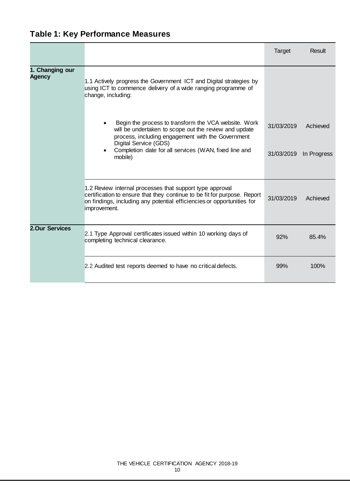## **Table 1: Key Performance Measures**

|                                  |                                                                                                                                                                                                                                | Target     | Result      |
|----------------------------------|--------------------------------------------------------------------------------------------------------------------------------------------------------------------------------------------------------------------------------|------------|-------------|
| 1. Changing our<br><b>Agency</b> | 1.1 Actively progress the Government ICT and Digital strategies by<br>using ICT to commence delivery of a wide ranging programme of<br>change, including:                                                                      |            |             |
|                                  | Begin the process to transform the VCA website. Work<br>will be undertaken to scope out the review and update<br>process, including engagement with the Government<br>Digital Service (GDS)                                    | 31/03/2019 | Achieved    |
|                                  | Completion date for all services (WAN, fixed line and<br>$\bullet$<br>mobile)                                                                                                                                                  | 31/03/2019 | In Progress |
|                                  | 1.2 Review internal processes that support type approval<br>certification to ensure that they continue to be fit for purpose. Report<br>on findings, including any potential efficiencies or opportunities for<br>improvement. | 31/03/2019 | Achieved    |
| <b>2.Our Services</b>            | 2.1 Type Approval certificates issued within 10 working days of<br>completing technical clearance.                                                                                                                             | 92%        | 85.4%       |
|                                  | 2.2 Audited test reports deemed to have no critical defects.                                                                                                                                                                   | 99%        | 100%        |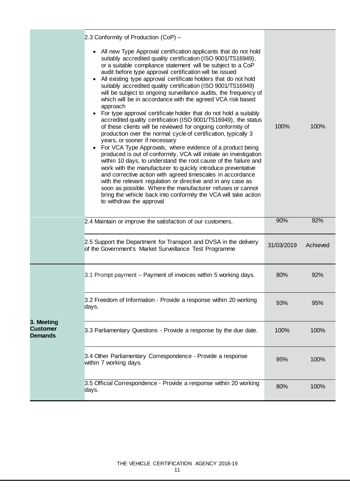|                                                                                                                                                                                                                                                                                                                                                                                                                                                                                                                                                                                                                                                                                                                                                                                                                                                                                                                                                                                                                                                                                                                                                                                                                                                                                                                                                                                                                      | 2.3 Conformity of Production (CoP) -                                                                                        |            |          |
|----------------------------------------------------------------------------------------------------------------------------------------------------------------------------------------------------------------------------------------------------------------------------------------------------------------------------------------------------------------------------------------------------------------------------------------------------------------------------------------------------------------------------------------------------------------------------------------------------------------------------------------------------------------------------------------------------------------------------------------------------------------------------------------------------------------------------------------------------------------------------------------------------------------------------------------------------------------------------------------------------------------------------------------------------------------------------------------------------------------------------------------------------------------------------------------------------------------------------------------------------------------------------------------------------------------------------------------------------------------------------------------------------------------------|-----------------------------------------------------------------------------------------------------------------------------|------------|----------|
| All new Type Approval certification applicants that do not hold<br>suitably accredited quality certification (ISO 9001/TS16949),<br>or a suitable compliance statement will be subject to a CoP<br>audit before type approval certification will be issued<br>All existing type approval certificate holders that do not hold<br>suitably accredited quality certification (ISO 9001/TS16949)<br>will be subject to ongoing surveillance audits, the frequency of<br>which will be in accordance with the agreed VCA risk based<br>approach<br>For type approval certificate holder that do not hold a suitably<br>accredited quality certification (ISO 9001/TS16949), the status<br>of these clients will be reviewed for ongoing conformity of<br>production over the normal cycle of certification, typically 3<br>years, or sooner if necessary<br>For VCA Type Approvals, where evidence of a product being<br>produced is out of conformity, VCA will initiate an investigation<br>within 10 days, to understand the root cause of the failure and<br>work with the manufacturer to quickly introduce preventative<br>and corrective action with agreed timescales in accordance<br>with the relevant regulation or directive and in any case as<br>soon as possible. Where the manufacturer refuses or cannot<br>bring the vehicle back into conformity the VCA will take action<br>to withdraw the approval |                                                                                                                             | 100%       | 100%     |
|                                                                                                                                                                                                                                                                                                                                                                                                                                                                                                                                                                                                                                                                                                                                                                                                                                                                                                                                                                                                                                                                                                                                                                                                                                                                                                                                                                                                                      | 2.4 Maintain or improve the satisfaction of our customers.                                                                  | 90%        | 92%      |
|                                                                                                                                                                                                                                                                                                                                                                                                                                                                                                                                                                                                                                                                                                                                                                                                                                                                                                                                                                                                                                                                                                                                                                                                                                                                                                                                                                                                                      | 2.5 Support the Department for Transport and DVSA in the delivery<br>of the Government's Market Surveillance Test Programme | 31/03/2019 | Achieved |
|                                                                                                                                                                                                                                                                                                                                                                                                                                                                                                                                                                                                                                                                                                                                                                                                                                                                                                                                                                                                                                                                                                                                                                                                                                                                                                                                                                                                                      | 3.1 Prompt payment – Payment of invoices within 5 working days.                                                             | 80%        | 92%      |
|                                                                                                                                                                                                                                                                                                                                                                                                                                                                                                                                                                                                                                                                                                                                                                                                                                                                                                                                                                                                                                                                                                                                                                                                                                                                                                                                                                                                                      | 3.2 Freedom of Information - Provide a response within 20 working<br>days.                                                  | 93%        | 95%      |
| 3. Meeting<br><b>Customer</b><br><b>Demands</b>                                                                                                                                                                                                                                                                                                                                                                                                                                                                                                                                                                                                                                                                                                                                                                                                                                                                                                                                                                                                                                                                                                                                                                                                                                                                                                                                                                      | 3.3 Parliamentary Questions - Provide a response by the due date.                                                           | 100%       | 100%     |
|                                                                                                                                                                                                                                                                                                                                                                                                                                                                                                                                                                                                                                                                                                                                                                                                                                                                                                                                                                                                                                                                                                                                                                                                                                                                                                                                                                                                                      | 3.4 Other Parliamentary Correspondence - Provide a response<br>within 7 working days.                                       | 95%        | 100%     |
|                                                                                                                                                                                                                                                                                                                                                                                                                                                                                                                                                                                                                                                                                                                                                                                                                                                                                                                                                                                                                                                                                                                                                                                                                                                                                                                                                                                                                      | 3.5 Official Correspondence - Provide a response within 20 working                                                          | 80%        | 100%     |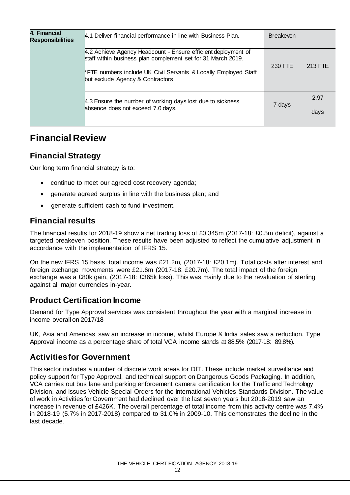| 4. Financial<br><b>Responsibilities</b> | 4.1 Deliver financial performance in line with Business Plan.                                                                                                                                                                        | <b>Breakeven</b> |              |
|-----------------------------------------|--------------------------------------------------------------------------------------------------------------------------------------------------------------------------------------------------------------------------------------|------------------|--------------|
|                                         | 4.2 Achieve Agency Headcount - Ensure efficient deployment of<br>staff within business plan complement set for 31 March 2019.<br>*FTE numbers include UK Civil Servants & Locally Employed Staff<br>but exclude Agency & Contractors | 230 FTE          | 213 FTE      |
|                                         | 4.3 Ensure the number of working days lost due to sickness<br>absence does not exceed 7.0 days.                                                                                                                                      | 7 days           | 2.97<br>days |

## **Financial Review**

### **Financial Strategy**

Our long term financial strategy is to:

- continue to meet our agreed cost recovery agenda;
- generate agreed surplus in line with the business plan; and
- generate sufficient cash to fund investment.

### **Financial results**

The financial results for 2018-19 show a net trading loss of £0.345m (2017-18: £0.5m deficit), against a targeted breakeven position. These results have been adjusted to reflect the cumulative adjustment in accordance with the implementation of IFRS 15.

On the new IFRS 15 basis, total income was £21.2m, (2017-18: £20.1m). Total costs after interest and foreign exchange movements were £21.6m (2017-18: £20.7m). The total impact of the foreign exchange was a £80k gain, (2017-18: £365k loss). This was mainly due to the revaluation of sterling against all major currencies in-year.

### **Product Certification Income**

Demand for Type Approval services was consistent throughout the year with a marginal increase in income overall on 2017/18

UK, Asia and Americas saw an increase in income, whilst Europe & India sales saw a reduction. Type Approval income as a percentage share of total VCA income stands at 88.5% (2017-18: 89.8%).

### **Activities for Government**

This sector includes a number of discrete work areas for DfT. These include market surveillance and policy support for Type Approval, and technical support on Dangerous Goods Packaging. In addition, VCA carries out bus lane and parking enforcement camera certification for the Traffic and Technology Division, and issues Vehicle Special Orders for the International Vehicles Standards Division. The value of work in Activities for Government had declined over the last seven years but 2018-2019 saw an increase in revenue of £426K. The overall percentage of total income from this activity centre was 7.4% in 2018-19 (5.7% in 2017-2018) compared to 31.0% in 2009-10. This demonstrates the decline in the last decade.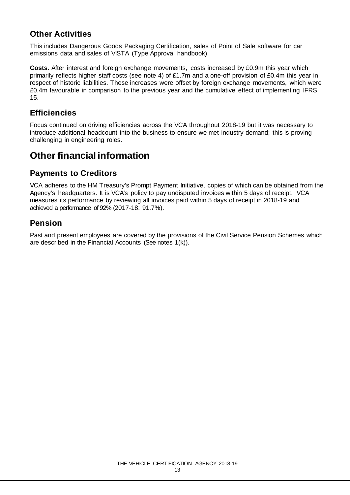### **Other Activities**

This includes Dangerous Goods Packaging Certification, sales of Point of Sale software for car emissions data and sales of VISTA (Type Approval handbook).

**Costs.** After interest and foreign exchange movements, costs increased by £0.9m this year which primarily reflects higher staff costs (see note 4) of £1.7m and a one-off provision of £0.4m this year in respect of historic liabilities. These increases were offset by foreign exchange movements, which were £0.4m favourable in comparison to the previous year and the cumulative effect of implementing IFRS 15.

### **Efficiencies**

Focus continued on driving efficiencies across the VCA throughout 2018-19 but it was necessary to introduce additional headcount into the business to ensure we met industry demand; this is proving challenging in engineering roles.

## **Other financial information**

### **Payments to Creditors**

VCA adheres to the HM Treasury's Prompt Payment Initiative, copies of which can be obtained from the Agency's headquarters. It is VCA's policy to pay undisputed invoices within 5 days of receipt. VCA measures its performance by reviewing all invoices paid within 5 days of receipt in 2018-19 and achieved a performance of 92% (2017-18: 91.7%).

### **Pension**

Past and present employees are covered by the provisions of the Civil Service Pension Schemes which are described in the Financial Accounts (See notes 1(k)).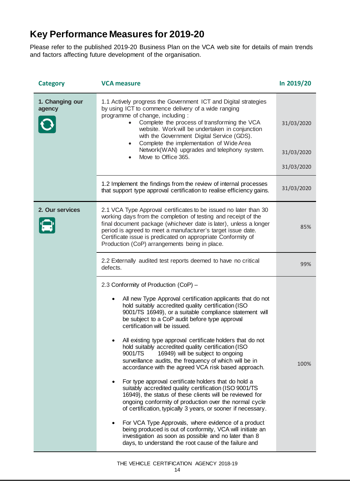## **Key Performance Measures for 2019-20**

Please refer to the published 2019-20 Business Plan on the VCA web site for details of main trends and factors affecting future development of the organisation.

| <b>Category</b>                                                                                                                                                                                                                                                                                                                                                                                                                                           | <b>VCA measure</b>                                                                                                                                                                                                                                                                                                                                                                                                                                                                                                                                                                                                                                                                                                                                                                                                                                                                                                                                                                                                                                                                                                                          | In 2019/20                             |
|-----------------------------------------------------------------------------------------------------------------------------------------------------------------------------------------------------------------------------------------------------------------------------------------------------------------------------------------------------------------------------------------------------------------------------------------------------------|---------------------------------------------------------------------------------------------------------------------------------------------------------------------------------------------------------------------------------------------------------------------------------------------------------------------------------------------------------------------------------------------------------------------------------------------------------------------------------------------------------------------------------------------------------------------------------------------------------------------------------------------------------------------------------------------------------------------------------------------------------------------------------------------------------------------------------------------------------------------------------------------------------------------------------------------------------------------------------------------------------------------------------------------------------------------------------------------------------------------------------------------|----------------------------------------|
| 1. Changing our<br>1.1 Actively progress the Government ICT and Digital strategies<br>by using ICT to commence delivery of a wide ranging<br>agency<br>programme of change, including:<br>Complete the process of transforming the VCA<br>website. Work will be undertaken in conjunction<br>with the Government Digital Service (GDS).<br>Complete the implementation of Wide Area<br>Network(WAN) upgrades and telephony system.<br>Move to Office 365. |                                                                                                                                                                                                                                                                                                                                                                                                                                                                                                                                                                                                                                                                                                                                                                                                                                                                                                                                                                                                                                                                                                                                             | 31/03/2020<br>31/03/2020<br>31/03/2020 |
|                                                                                                                                                                                                                                                                                                                                                                                                                                                           | 1.2 Implement the findings from the review of internal processes<br>that support type approval certification to realise efficiency gains.                                                                                                                                                                                                                                                                                                                                                                                                                                                                                                                                                                                                                                                                                                                                                                                                                                                                                                                                                                                                   | 31/03/2020                             |
| 2. Our services                                                                                                                                                                                                                                                                                                                                                                                                                                           | 2.1 VCA Type Approval certificates to be issued no later than 30<br>working days from the completion of testing and receipt of the<br>final document package (whichever date is later), unless a longer<br>period is agreed to meet a manufacturer's target issue date.<br>Certificate issue is predicated on appropriate Conformity of<br>Production (CoP) arrangements being in place.                                                                                                                                                                                                                                                                                                                                                                                                                                                                                                                                                                                                                                                                                                                                                    | 85%                                    |
|                                                                                                                                                                                                                                                                                                                                                                                                                                                           | 2.2 Externally audited test reports deemed to have no critical<br>defects.                                                                                                                                                                                                                                                                                                                                                                                                                                                                                                                                                                                                                                                                                                                                                                                                                                                                                                                                                                                                                                                                  | 99%                                    |
|                                                                                                                                                                                                                                                                                                                                                                                                                                                           | 2.3 Conformity of Production (CoP) -<br>All new Type Approval certification applicants that do not<br>hold suitably accredited quality certification (ISO<br>9001/TS 16949), or a suitable compliance statement will<br>be subject to a CoP audit before type approval<br>certification will be issued.<br>All existing type approval certificate holders that do not<br>hold suitably accredited quality certification (ISO<br>9001/TS<br>16949) will be subject to ongoing<br>surveillance audits, the frequency of which will be in<br>accordance with the agreed VCA risk based approach.<br>For type approval certificate holders that do hold a<br>suitably accredited quality certification (ISO 9001/TS<br>16949), the status of these clients will be reviewed for<br>ongoing conformity of production over the normal cycle<br>of certification, typically 3 years, or sooner if necessary.<br>For VCA Type Approvals, where evidence of a product<br>being produced is out of conformity, VCA will initiate an<br>investigation as soon as possible and no later than 8<br>days, to understand the root cause of the failure and | 100%                                   |

#### THE VEHICLE CERTIFICATION AGENCY 2018-19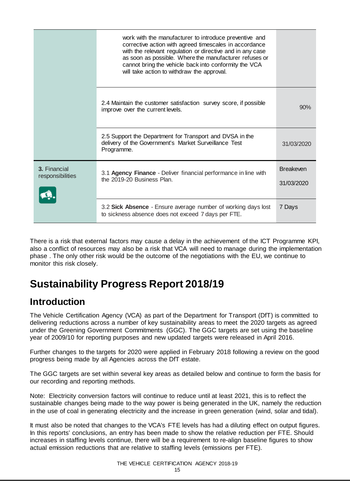|                                  | work with the manufacturer to introduce preventive and<br>corrective action with agreed timescales in accordance<br>with the relevant regulation or directive and in any case<br>as soon as possible. Where the manufacturer refuses or<br>cannot bring the vehicle back into conformity the VCA<br>will take action to withdraw the approval. |                                |
|----------------------------------|------------------------------------------------------------------------------------------------------------------------------------------------------------------------------------------------------------------------------------------------------------------------------------------------------------------------------------------------|--------------------------------|
|                                  | 2.4 Maintain the customer satisfaction survey score, if possible<br>improve over the current levels.                                                                                                                                                                                                                                           | 90%                            |
|                                  | 2.5 Support the Department for Transport and DVSA in the<br>delivery of the Government's Market Surveillance Test<br>Programme.                                                                                                                                                                                                                | 31/03/2020                     |
| 3. Financial<br>responsibilities | 3.1 Agency Finance - Deliver financial performance in line with<br>the 2019-20 Business Plan.                                                                                                                                                                                                                                                  | <b>Breakeven</b><br>31/03/2020 |
|                                  | 3.2 Sick Absence - Ensure average number of working days lost<br>to sickness absence does not exceed 7 days per FTE.                                                                                                                                                                                                                           | 7 Days                         |

There is a risk that external factors may cause a delay in the achievement of the ICT Programme KPI, also a conflict of resources may also be a risk that VCA will need to manage during the implementation phase . The only other risk would be the outcome of the negotiations with the EU, we continue to monitor this risk closely.

## **Sustainability Progress Report 2018/19**

## **Introduction**

The Vehicle Certification Agency (VCA) as part of the Department for Transport (DfT) is committed to delivering reductions across a number of key sustainability areas to meet the 2020 targets as agreed under the Greening Government Commitments (GGC). The GGC targets are set using the baseline year of 2009/10 for reporting purposes and new updated targets were released in April 2016.

Further changes to the targets for 2020 were applied in February 2018 following a review on the good progress being made by all Agencies across the DfT estate.

The GGC targets are set within several key areas as detailed below and continue to form the basis for our recording and reporting methods.

Note: Electricity conversion factors will continue to reduce until at least 2021, this is to reflect the sustainable changes being made to the way power is being generated in the UK, namely the reduction in the use of coal in generating electricity and the increase in green generation (wind, solar and tidal).

It must also be noted that changes to the VCA's FTE levels has had a diluting effect on output figures. In this reports' conclusions, an entry has been made to show the relative reduction per FTE. Should increases in staffing levels continue, there will be a requirement to re-align baseline figures to show actual emission reductions that are relative to staffing levels (emissions per FTE).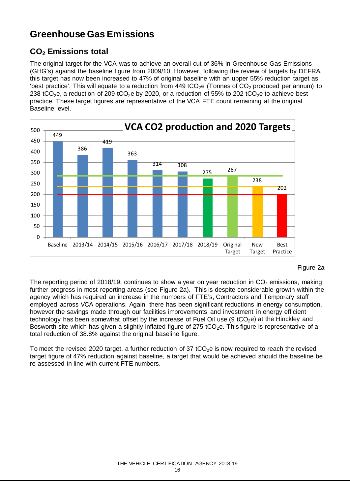## **Greenhouse Gas Emissions**

## **CO2 Emissions total**

The original target for the VCA was to achieve an overall cut of 36% in Greenhouse Gas Emissions (GHG's) against the baseline figure from 2009/10. However, following the review of targets by DEFRA, this target has now been increased to 47% of original baseline with an upper 55% reduction target as 'best practice'. This will equate to a reduction from 449 tCO<sub>2</sub>e (Tonnes of CO<sub>2</sub> produced per annum) to 238 tCO<sub>2</sub>e, a reduction of 209 tCO<sub>2</sub>e by 2020, or a reduction of 55% to 202 tCO<sub>2</sub>e to achieve best practice. These target figures are representative of the VCA FTE count remaining at the original Baseline level.



#### Figure 2a

The reporting period of 2018/19, continues to show a year on year reduction in  $CO<sub>2</sub>$  emissions, making further progress in most reporting areas (see Figure 2a). This is despite considerable growth within the agency which has required an increase in the numbers of FTE's, Contractors and Temporary staff employed across VCA operations. Again, there has been significant reductions in energy consumption, however the savings made through our facilities improvements and investment in energy efficient technology has been somewhat offset by the increase of Fuel Oil use (9 tCO<sub>2</sub>e) at the Hinckley and Bosworth site which has given a slightly inflated figure of 275 tCO<sub>2</sub>e. This figure is representative of a total reduction of 38.8% against the original baseline figure.

To meet the revised 2020 target, a further reduction of 37 tCO<sub>2</sub>e is now required to reach the revised target figure of 47% reduction against baseline, a target that would be achieved should the baseline be re-assessed in line with current FTE numbers.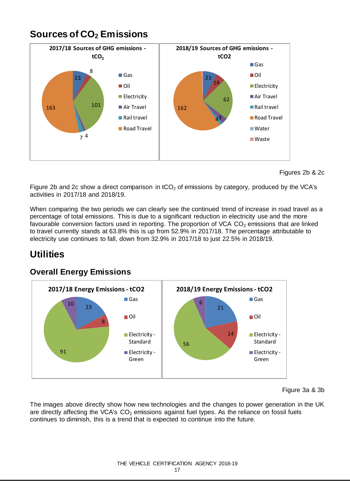## **Sources of CO2 Emissions**



Figures 2b & 2c

Figure 2b and 2c show a direct comparison in  $tCO<sub>2</sub>$  of emissions by category, produced by the VCA's activities in 2017/18 and 2018/19.

When comparing the two periods we can clearly see the continued trend of increase in road travel as a percentage of total emissions. This is due to a significant reduction in electricity use and the more favourable conversion factors used in reporting. The proportion of VCA  $CO<sub>2</sub>$  emissions that are linked to travel currently stands at 63.8% this is up from 52.9% in 2017/18. The percentage attributable to electricity use continues to fall, down from 32.9% in 2017/18 to just 22.5% in 2018/19.

## **Utilities**



### **Overall Energy Emissions**

#### Figure 3a & 3b

The images above directly show how new technologies and the changes to power generation in the UK are directly affecting the VCA's  $CO<sub>2</sub>$  emissions against fuel types. As the reliance on fossil fuels continues to diminish, this is a trend that is expected to continue into the future.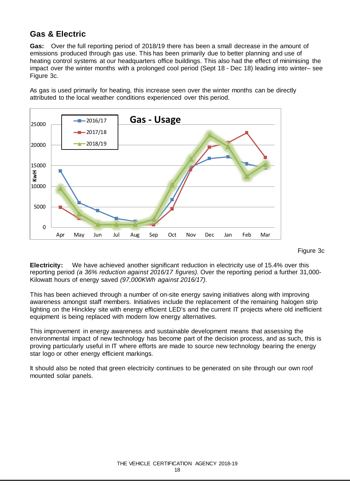### **Gas & Electric**

**Gas:** Over the full reporting period of 2018/19 there has been a small decrease in the amount of emissions produced through gas use. This has been primarily due to better planning and use of heating control systems at our headquarters office buildings. This also had the effect of minimising the impact over the winter months with a prolonged cool period (Sept 18 - Dec 18) leading into winter– see Figure 3c.



As gas is used primarily for heating, this increase seen over the winter months can be directly attributed to the local weather conditions experienced over this period.

Figure 3c

**Electricity:** We have achieved another significant reduction in electricity use of 15.4% over this reporting period *(a 36% reduction against 2016/17 figures)*. Over the reporting period a further 31,000- Kilowatt hours of energy saved *(97,000KWh against 2016/17)*.

This has been achieved through a number of on-site energy saving initiatives along with improving awareness amongst staff members. Initiatives include the replacement of the remaining halogen strip lighting on the Hinckley site with energy efficient LED's and the current IT projects where old inefficient equipment is being replaced with modern low energy alternatives.

This improvement in energy awareness and sustainable development means that assessing the environmental impact of new technology has become part of the decision process, and as such, this is proving particularly useful in IT where efforts are made to source new technology bearing the energy star logo or other energy efficient markings.

It should also be noted that green electricity continues to be generated on site through our own roof mounted solar panels.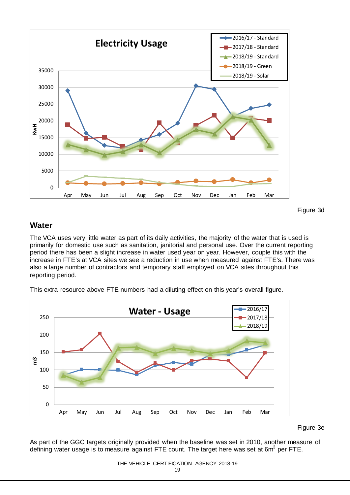

Figure 3d

### **Water**

The VCA uses very little water as part of its daily activities, the majority of the water that is used is primarily for domestic use such as sanitation, janitorial and personal use. Over the current reporting period there has been a slight increase in water used year on year. However, couple this with the increase in FTE's at VCA sites we see a reduction in use when measured against FTE's. There was also a large number of contractors and temporary staff employed on VCA sites throughout this reporting period.

This extra resource above FTE numbers had a diluting effect on this year's overall figure.



Figure 3e

As part of the GGC targets originally provided when the baseline was set in 2010, another measure of defining water usage is to measure against FTE count. The target here was set at  $6m^3$  per FTE.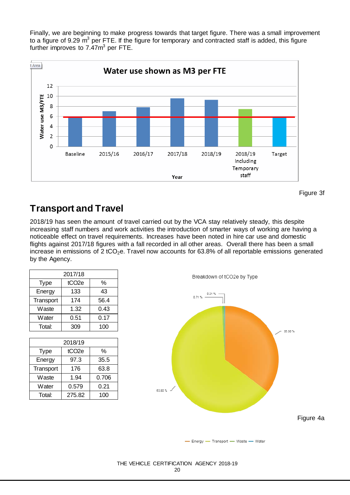Finally, we are beginning to make progress towards that target figure. There was a small improvement to a figure of 9.29  $m^3$  per FTE. If the figure for temporary and contracted staff is added, this figure further improves to  $7.47m<sup>3</sup>$  per FTE.



Figure 3f

## **Transport and Travel**

2018/19 has seen the amount of travel carried out by the VCA stay relatively steady, this despite increasing staff numbers and work activities the introduction of smarter ways of working are having a noticeable effect on travel requirements. Increases have been noted in hire car use and domestic flights against 2017/18 figures with a fall recorded in all other areas. Overall there has been a small increase in emissions of 2 tCO<sub>2</sub>e. Travel now accounts for 63.8% of all reportable emissions generated by the Agency.

| 2017/18     |                   |               |  |
|-------------|-------------------|---------------|--|
| <b>Type</b> | tCO <sub>2e</sub> | $\frac{0}{0}$ |  |
| Energy      | 133               | 43            |  |
| Transport   | 174               | 56.4          |  |
| Waste       | 1.32              | 0.43          |  |
| Water       | 0.51              | 0.17          |  |
| Total:      | 309               | 100           |  |

| 2018/19     |                   |       |  |
|-------------|-------------------|-------|--|
| <b>Type</b> | tCO <sub>2e</sub> | %     |  |
| Energy      | 97.3              | 35.5  |  |
| Transport   | 176               | 63.8  |  |
| Waste       | 1.94              | 0.706 |  |
| Water       | 0.579             | 0.21  |  |
| Total:      | 275.82            | 100   |  |



- Energy - Transport - Waste - Water

#### THE VEHICLE CERTIFICATION AGENCY 2018-19

20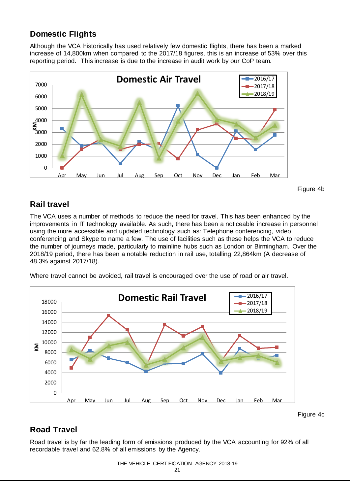## **Domestic Flights**

Although the VCA historically has used relatively few domestic flights, there has been a marked increase of 14,800km when compared to the 2017/18 figures, this is an increase of 53% over this reporting period. This increase is due to the increase in audit work by our CoP team.



Figure 4b

### **Rail travel**

The VCA uses a number of methods to reduce the need for travel. This has been enhanced by the improvements in IT technology available. As such, there has been a noticeable increase in personnel using the more accessible and updated technology such as: Telephone conferencing, video conferencing and Skype to name a few. The use of facilities such as these helps the VCA to reduce the number of journeys made, particularly to mainline hubs such as London or Birmingham. Over the 2018/19 period, there has been a notable reduction in rail use, totalling 22,864km (A decrease of 48.3% against 2017/18).



Where travel cannot be avoided, rail travel is encouraged over the use of road or air travel.

## **Road Travel**

Road travel is by far the leading form of emissions produced by the VCA accounting for 92% of all recordable travel and 62.8% of all emissions by the Agency.

#### THE VEHICLE CERTIFICATION AGENCY 2018-19

Figure 4c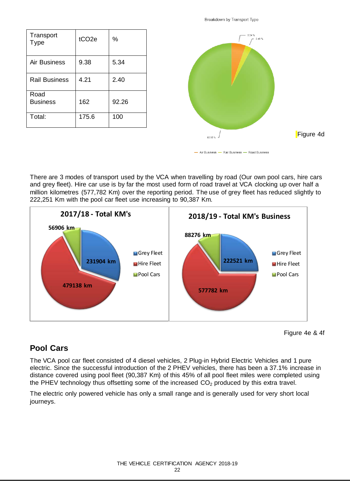| Transport<br><b>Type</b> | tCO <sub>2e</sub> | %     |
|--------------------------|-------------------|-------|
| Air Business             | 9.38              | 5.34  |
| <b>Rail Business</b>     | 4.21              | 2.40  |
| Road<br><b>Business</b>  | 162               | 92.26 |
| Total:                   | 175.6             | 100   |



- Air Business - Rail Business - Road Business

There are 3 modes of transport used by the VCA when travelling by road (Our own pool cars, hire cars and grey fleet). Hire car use is by far the most used form of road travel at VCA clocking up over half a million kilometres (577,782 Km) over the reporting period. The use of grey fleet has reduced slightly to 222,251 Km with the pool car fleet use increasing to 90,387 Km.



Figure 4e & 4f

### **Pool Cars**

The VCA pool car fleet consisted of 4 diesel vehicles, 2 Plug-in Hybrid Electric Vehicles and 1 pure electric. Since the successful introduction of the 2 PHEV vehicles, there has been a 37.1% increase in distance covered using pool fleet (90,387 Km) of this 45% of all pool fleet miles were completed using the PHEV technology thus offsetting some of the increased  $CO<sub>2</sub>$  produced by this extra travel.

The electric only powered vehicle has only a small range and is generally used for very short local journeys.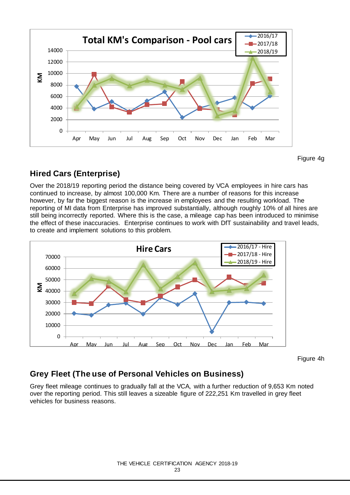

Figure 4g

### **Hired Cars (Enterprise)**

Over the 2018/19 reporting period the distance being covered by VCA employees in hire cars has continued to increase, by almost 100,000 Km. There are a number of reasons for this increase however, by far the biggest reason is the increase in employees and the resulting workload. The reporting of MI data from Enterprise has improved substantially, although roughly 10% of all hires are still being incorrectly reported. Where this is the case, a mileage cap has been introduced to minimise the effect of these inaccuracies. Enterprise continues to work with DfT sustainability and travel leads, to create and implement solutions to this problem.



Figure 4h

## **Grey Fleet (The use of Personal Vehicles on Business)**

Grey fleet mileage continues to gradually fall at the VCA, with a further reduction of 9,653 Km noted over the reporting period. This still leaves a sizeable figure of 222,251 Km travelled in grey fleet vehicles for business reasons.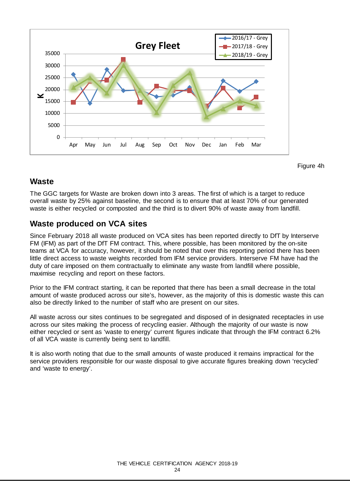

Figure 4h

### **Waste**

The GGC targets for Waste are broken down into 3 areas. The first of which is a target to reduce overall waste by 25% against baseline, the second is to ensure that at least 70% of our generated waste is either recycled or composted and the third is to divert 90% of waste away from landfill.

### **Waste produced on VCA sites**

Since February 2018 all waste produced on VCA sites has been reported directly to DfT by Interserve FM (IFM) as part of the DfT FM contract. This, where possible, has been monitored by the on-site teams at VCA for accuracy, however, it should be noted that over this reporting period there has been little direct access to waste weights recorded from IFM service providers. Interserve FM have had the duty of care imposed on them contractually to eliminate any waste from landfill where possible, maximise recycling and report on these factors.

Prior to the IFM contract starting, it can be reported that there has been a small decrease in the total amount of waste produced across our site's, however, as the majority of this is domestic waste this can also be directly linked to the number of staff who are present on our sites.

All waste across our sites continues to be segregated and disposed of in designated receptacles in use across our sites making the process of recycling easier. Although the majority of our waste is now either recycled or sent as 'waste to energy' current figures indicate that through the IFM contract 6.2% of all VCA waste is currently being sent to landfill.

It is also worth noting that due to the small amounts of waste produced it remains impractical for the service providers responsible for our waste disposal to give accurate figures breaking down 'recycled' and 'waste to energy'.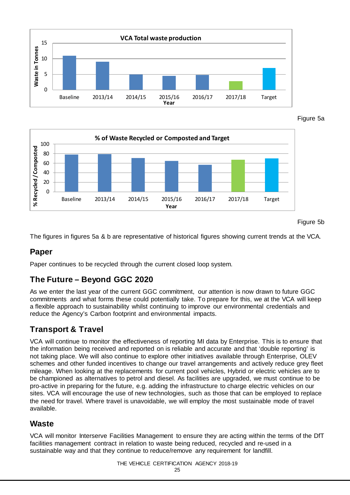

Figure 5a



Figure 5b

The figures in figures 5a & b are representative of historical figures showing current trends at the VCA.

### **Paper**

Paper continues to be recycled through the current closed loop system.

### **The Future – Beyond GGC 2020**

As we enter the last year of the current GGC commitment, our attention is now drawn to future GGC commitments and what forms these could potentially take. To prepare for this, we at the VCA will keep a flexible approach to sustainability whilst continuing to improve our environmental credentials and reduce the Agency's Carbon footprint and environmental impacts.

### **Transport & Travel**

VCA will continue to monitor the effectiveness of reporting MI data by Enterprise. This is to ensure that the information being received and reported on is reliable and accurate and that 'double reporting' is not taking place. We will also continue to explore other initiatives available through Enterprise, OLEV schemes and other funded incentives to change our travel arrangements and actively reduce grey fleet mileage. When looking at the replacements for current pool vehicles, Hybrid or electric vehicles are to be championed as alternatives to petrol and diesel. As facilities are upgraded, we must continue to be pro-active in preparing for the future, e.g. adding the infrastructure to charge electric vehicles on our sites. VCA will encourage the use of new technologies, such as those that can be employed to replace the need for travel. Where travel is unavoidable, we will employ the most sustainable mode of travel available.

### **Waste**

VCA will monitor Interserve Facilities Management to ensure they are acting within the terms of the DfT facilities management contract in relation to waste being reduced, recycled and re-used in a sustainable way and that they continue to reduce/remove any requirement for landfill.

THE VEHICLE CERTIFICATION AGENCY 2018-19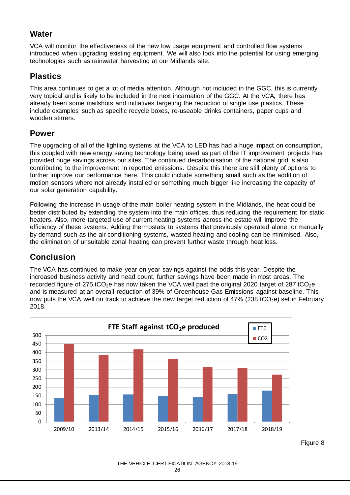### **Water**

VCA will monitor the effectiveness of the new low usage equipment and controlled flow systems introduced when upgrading existing equipment. We will also look into the potential for using emerging technologies such as rainwater harvesting at our Midlands site.

## **Plastics**

This area continues to get a lot of media attention. Although not included in the GGC, this is currently very topical and is likely to be included in the next incarnation of the GGC. At the VCA, there has already been some mailshots and initiatives targeting the reduction of single use plastics. These include examples such as specific recycle boxes, re-useable drinks containers, paper cups and wooden stirrers.

### **Power**

The upgrading of all of the lighting systems at the VCA to LED has had a huge impact on consumption, this coupled with new energy saving technology being used as part of the IT improvement projects has provided huge savings across our sites. The continued decarbonisation of the national grid is also contributing to the improvement in reported emissions. Despite this there are still plenty of options to further improve our performance here. This could include something small such as the addition of motion sensors where not already installed or something much bigger like increasing the capacity of our solar generation capability.

Following the increase in usage of the main boiler heating system in the Midlands, the heat could be better distributed by extending the system into the main offices, thus reducing the requirement for static heaters. Also, more targeted use of current heating systems across the estate will improve the efficiency of these systems. Adding thermostats to systems that previously operated alone, or manually by demand such as the air conditioning systems, wasted heating and cooling can be minimised. Also, the elimination of unsuitable zonal heating can prevent further waste through heat loss.

## **Conclusion**

The VCA has continued to make year on year savings against the odds this year. Despite the increased business activity and head count, further savings have been made in most areas. The recorded figure of 275 tCO<sub>2</sub>e has now taken the VCA well past the original 2020 target of 287 tCO<sub>2</sub>e and is measured at an overall reduction of 39% of Greenhouse Gas Emissions against baseline. This now puts the VCA well on track to achieve the new target reduction of 47% (238 tCO<sub>2</sub>e) set in February 2018.



Figure 8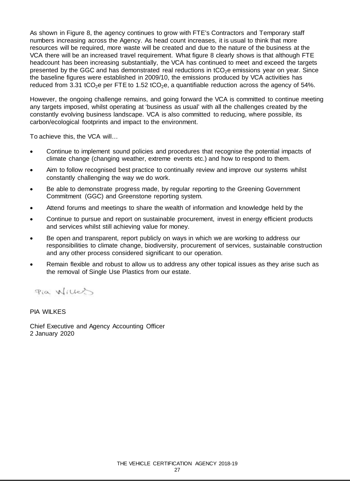As shown in Figure 8, the agency continues to grow with FTE's Contractors and Temporary staff numbers increasing across the Agency. As head count increases, it is usual to think that more resources will be required, more waste will be created and due to the nature of the business at the VCA there will be an increased travel requirement. What figure 8 clearly shows is that although FTE headcount has been increasing substantially, the VCA has continued to meet and exceed the targets presented by the GGC and has demonstrated real reductions in  $tCO<sub>2</sub>e$  emissions year on year. Since the baseline figures were established in 2009/10, the emissions produced by VCA activities has reduced from 3.31 tCO<sub>2</sub>e per FTE to 1.52 tCO<sub>2</sub>e, a quantifiable reduction across the agency of 54%.

However, the ongoing challenge remains, and going forward the VCA is committed to continue meeting any targets imposed, whilst operating at 'business as usual' with all the challenges created by the constantly evolving business landscape. VCA is also committed to reducing, where possible, its carbon/ecological footprints and impact to the environment.

To achieve this, the VCA will…

- Continue to implement sound policies and procedures that recognise the potential impacts of climate change (changing weather, extreme events etc.) and how to respond to them.
- Aim to follow recognised best practice to continually review and improve our systems whilst constantly challenging the way we do work.
- Be able to demonstrate progress made, by regular reporting to the Greening Government Commitment (GGC) and Greenstone reporting system.
- Attend forums and meetings to share the wealth of information and knowledge held by the
- Continue to pursue and report on sustainable procurement, invest in energy efficient products and services whilst still achieving value for money.
- Be open and transparent, report publicly on ways in which we are working to address our responsibilities to climate change, biodiversity, procurement of services, sustainable construction and any other process considered significant to our operation.
- Remain flexible and robust to allow us to address any other topical issues as they arise such as the removal of Single Use Plastics from our estate.

Pia Willes

PIA WILKES

Chief Executive and Agency Accounting Officer 2 January 2020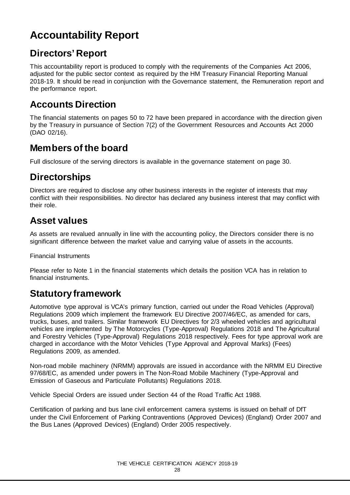## <span id="page-27-0"></span>**Accountability Report**

## **Directors' Report**

This accountability report is produced to comply with the requirements of the Companies Act 2006, adjusted for the public sector context as required by the HM Treasury Financial Reporting Manual 2018-19. It should be read in conjunction with the Governance statement, the Remuneration report and the performance report.

## **Accounts Direction**

The financial statements on pages 50 to 72 have been prepared in accordance with the direction given by the Treasury in pursuance of Section 7(2) of the Government Resources and Accounts Act 2000 (DAO 02/16).

## **Members of the board**

Full disclosure of the serving directors is available in the governance statement on page 30.

## **Directorships**

Directors are required to disclose any other business interests in the register of interests that may conflict with their responsibilities. No director has declared any business interest that may conflict with their role.

## **Asset values**

As assets are revalued annually in line with the accounting policy, the Directors consider there is no significant difference between the market value and carrying value of assets in the accounts.

Financial Instruments

Please refer to Note 1 in the financial statements which details the position VCA has in relation to financial instruments.

## **Statutory framework**

Automotive type approval is VCA's primary function, carried out under the Road Vehicles (Approval) Regulations 2009 which implement the framework EU Directive 2007/46/EC, as amended for cars, trucks, buses, and trailers. Similar framework EU Directives for 2/3 wheeled vehicles and agricultural vehicles are implemented by The Motorcycles (Type-Approval) Regulations 2018 and The Agricultural and Forestry Vehicles (Type-Approval) Regulations 2018 respectively. Fees for type approval work are charged in accordance with the Motor Vehicles (Type Approval and Approval Marks) (Fees) Regulations 2009, as amended.

Non-road mobile machinery (NRMM) approvals are issued in accordance with the NRMM EU Directive 97/68/EC, as amended under powers in The Non-Road Mobile Machinery (Type-Approval and Emission of Gaseous and Particulate Pollutants) Regulations 2018.

Vehicle Special Orders are issued under Section 44 of the Road Traffic Act 1988.

Certification of parking and bus lane civil enforcement camera systems is issued on behalf of DfT under the Civil Enforcement of Parking Contraventions (Approved Devices) (England) Order 2007 and the Bus Lanes (Approved Devices) (England) Order 2005 respectively.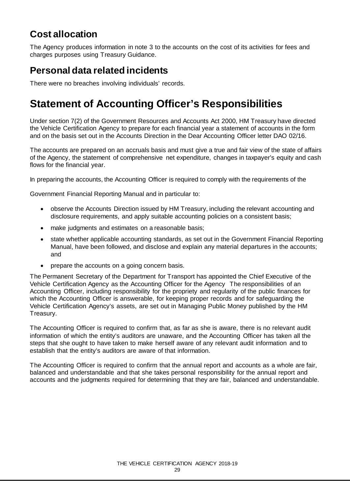## **Cost allocation**

The Agency produces information in note 3 to the accounts on the cost of its activities for fees and charges purposes using Treasury Guidance.

## **Personal data related incidents**

There were no breaches involving individuals' records.

## **Statement of Accounting Officer's Responsibilities**

Under section 7(2) of the Government Resources and Accounts Act 2000, HM Treasury have directed the Vehicle Certification Agency to prepare for each financial year a statement of accounts in the form and on the basis set out in the Accounts Direction in the Dear Accounting Officer letter DAO 02/16.

The accounts are prepared on an accruals basis and must give a true and fair view of the state of affairs of the Agency, the statement of comprehensive net expenditure, changes in taxpayer's equity and cash flows for the financial year.

In preparing the accounts, the Accounting Officer is required to comply with the requirements of the

Government Financial Reporting Manual and in particular to:

- observe the Accounts Direction issued by HM Treasury, including the relevant accounting and disclosure requirements, and apply suitable accounting policies on a consistent basis;
- make judgments and estimates on a reasonable basis;
- state whether applicable accounting standards, as set out in the Government Financial Reporting Manual, have been followed, and disclose and explain any material departures in the accounts; and
- prepare the accounts on a going concern basis.

The Permanent Secretary of the Department for Transport has appointed the Chief Executive of the Vehicle Certification Agency as the Accounting Officer for the Agency The responsibilities of an Accounting Officer, including responsibility for the propriety and regularity of the public finances for which the Accounting Officer is answerable, for keeping proper records and for safeguarding the Vehicle Certification Agency's assets, are set out in Managing Public Money published by the HM Treasury.

The Accounting Officer is required to confirm that, as far as she is aware, there is no relevant audit information of which the entity's auditors are unaware, and the Accounting Officer has taken all the steps that she ought to have taken to make herself aware of any relevant audit information and to establish that the entity's auditors are aware of that information.

The Accounting Officer is required to confirm that the annual report and accounts as a whole are fair, balanced and understandable and that she takes personal responsibility for the annual report and accounts and the judgments required for determining that they are fair, balanced and understandable.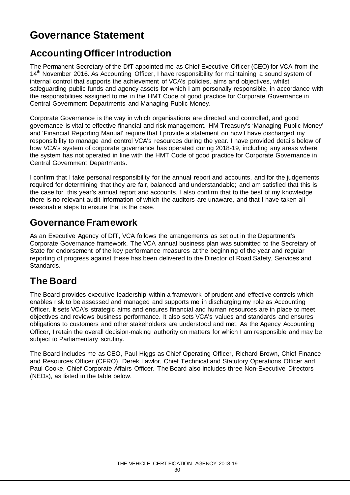## **Governance Statement**

## **Accounting Officer Introduction**

The Permanent Secretary of the DfT appointed me as Chief Executive Officer (CEO) for VCA from the 14<sup>th</sup> November 2016. As Accounting Officer, I have responsibility for maintaining a sound system of internal control that supports the achievement of VCA's policies, aims and objectives, whilst safeguarding public funds and agency assets for which I am personally responsible, in accordance with the responsibilities assigned to me in the HMT Code of good practice for Corporate Governance in Central Government Departments and Managing Public Money.

Corporate Governance is the way in which organisations are directed and controlled, and good governance is vital to effective financial and risk management. HM Treasury's 'Managing Public Money' and 'Financial Reporting Manual' require that I provide a statement on how I have discharged my responsibility to manage and control VCA's resources during the year. I have provided details below of how VCA's system of corporate governance has operated during 2018-19, including any areas where the system has not operated in line with the HMT Code of good practice for Corporate Governance in Central Government Departments.

I confirm that I take personal responsibility for the annual report and accounts, and for the judgements required for determining that they are fair, balanced and understandable; and am satisfied that this is the case for this year's annual report and accounts. I also confirm that to the best of my knowledge there is no relevant audit information of which the auditors are unaware, and that I have taken all reasonable steps to ensure that is the case.

## **GovernanceFramework**

As an Executive Agency of DfT, VCA follows the arrangements as set out in the Department's Corporate Governance framework. The VCA annual business plan was submitted to the Secretary of State for endorsement of the key performance measures at the beginning of the year and regular reporting of progress against these has been delivered to the Director of Road Safety, Services and Standards.

## **The Board**

The Board provides executive leadership within a framework of prudent and effective controls which enables risk to be assessed and managed and supports me in discharging my role as Accounting Officer. It sets VCA's strategic aims and ensures financial and human resources are in place to meet objectives and reviews business performance. It also sets VCA's values and standards and ensures obligations to customers and other stakeholders are understood and met. As the Agency Accounting Officer, I retain the overall decision-making authority on matters for which I am responsible and may be subject to Parliamentary scrutiny.

The Board includes me as CEO, Paul Higgs as Chief Operating Officer, Richard Brown, Chief Finance and Resources Officer (CFRO), Derek Lawlor, Chief Technical and Statutory Operations Officer and Paul Cooke, Chief Corporate Affairs Officer. The Board also includes three Non-Executive Directors (NEDs), as listed in the table below.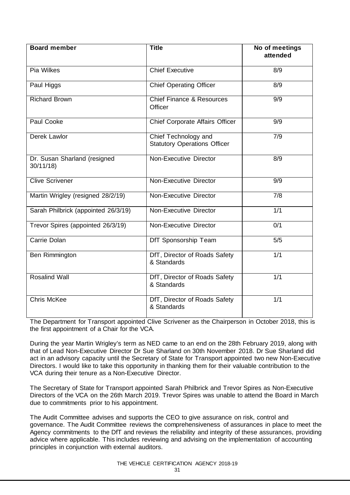| <b>Board member</b>                      | <b>Title</b>                                                | No of meetings<br>attended |
|------------------------------------------|-------------------------------------------------------------|----------------------------|
| Pia Wilkes                               | <b>Chief Executive</b>                                      | 8/9                        |
| Paul Higgs                               | <b>Chief Operating Officer</b>                              | 8/9                        |
| <b>Richard Brown</b>                     | <b>Chief Finance &amp; Resources</b><br>Officer             | 9/9                        |
| Paul Cooke                               | Chief Corporate Affairs Officer                             | 9/9                        |
| Derek Lawlor                             | Chief Technology and<br><b>Statutory Operations Officer</b> | 7/9                        |
| Dr. Susan Sharland (resigned<br>30/11/18 | Non-Executive Director                                      | 8/9                        |
| <b>Clive Scrivener</b>                   | Non-Executive Director                                      | $\overline{9/9}$           |
| Martin Wrigley (resigned 28/2/19)        | Non-Executive Director                                      | 7/8                        |
| Sarah Philbrick (appointed 26/3/19)      | Non-Executive Director                                      | 1/1                        |
| Trevor Spires (appointed 26/3/19)        | Non-Executive Director                                      | 0/1                        |
| Carrie Dolan                             | DfT Sponsorship Team                                        | 5/5                        |
| Ben Rimmington                           | DfT, Director of Roads Safety<br>& Standards                | 1/1                        |
| <b>Rosalind Wall</b>                     | DfT, Director of Roads Safety<br>& Standards                | 1/1                        |
| <b>Chris McKee</b>                       | DfT, Director of Roads Safety<br>& Standards                | 1/1                        |

The Department for Transport appointed Clive Scrivener as the Chairperson in October 2018, this is the first appointment of a Chair for the VCA.

During the year Martin Wrigley's term as NED came to an end on the 28th February 2019, along with that of Lead Non-Executive Director Dr Sue Sharland on 30th November 2018. Dr Sue Sharland did act in an advisory capacity until the Secretary of State for Transport appointed two new Non-Executive Directors. I would like to take this opportunity in thanking them for their valuable contribution to the VCA during their tenure as a Non-Executive Director.

The Secretary of State for Transport appointed Sarah Philbrick and Trevor Spires as Non-Executive Directors of the VCA on the 26th March 2019. Trevor Spires was unable to attend the Board in March due to commitments prior to his appointment.

The Audit Committee advises and supports the CEO to give assurance on risk, control and governance. The Audit Committee reviews the comprehensiveness of assurances in place to meet the Agency commitments to the DfT and reviews the reliability and integrity of these assurances, providing advice where applicable. This includes reviewing and advising on the implementation of accounting principles in conjunction with external auditors.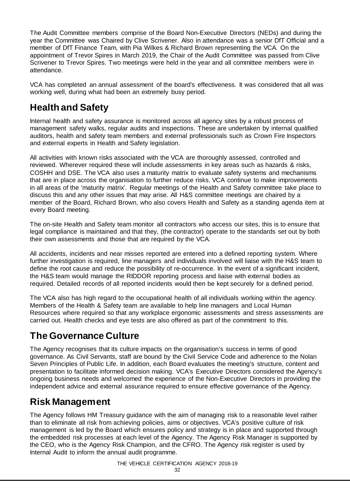The Audit Committee members comprise of the Board Non-Executive Directors (NEDs) and during the year the Committee was Chaired by Clive Scrivener. Also in attendance was a senior DfT Official and a member of DfT Finance Team, with Pia Wilkes & Richard Brown representing the VCA. On the appointment of Trevor Spires in March 2019, the Chair of the Audit Committee was passed from Clive Scrivener to Trevor Spires. Two meetings were held in the year and all committee members were in attendance.

VCA has completed an annual assessment of the board's effectiveness. It was considered that all was working well, during what had been an extremely busy period.

## **Health and Safety**

Internal health and safety assurance is monitored across all agency sites by a robust process of management safety walks, regular audits and inspections. These are undertaken by internal qualified auditors, health and safety team members and external professionals such as Crown Fire Inspectors and external experts in Health and Safety legislation.

All activities with known risks associated with the VCA are thoroughly assessed, controlled and reviewed. Wherever required these will include assessments in key areas such as hazards & risks, COSHH and DSE. The VCA also uses a maturity matrix to evaluate safety systems and mechanisms that are in place across the organisation to further reduce risks. VCA continue to make improvements in all areas of the 'maturity matrix'. Regular meetings of the Health and Safety committee take place to discuss this and any other issues that may arise. All H&S committee meetings are chaired by a member of the Board, Richard Brown, who also covers Health and Safety as a standing agenda item at every Board meeting.

The on-site Health and Safety team monitor all contractors who access our sites, this is to ensure that legal compliance is maintained and that they, (the contractor) operate to the standards set out by both their own assessments and those that are required by the VCA.

All accidents, incidents and near misses reported are entered into a defined reporting system. Where further investigation is required, line managers and individuals involved will liaise with the H&S team to define the root cause and reduce the possibility of re-occurrence. In the event of a significant incident, the H&S team would manage the RIDDOR reporting process and liaise with external bodies as required. Detailed records of all reported incidents would then be kept securely for a defined period.

The VCA also has high regard to the occupational health of all individuals working within the agency. Members of the Health & Safety team are available to help line managers and Local Human Resources where required so that any workplace ergonomic assessments and stress assessments are carried out. Health checks and eye tests are also offered as part of the commitment to this.

## **The Governance Culture**

The Agency recognises that its culture impacts on the organisation's success in terms of good governance. As Civil Servants, staff are bound by the Civil Service Code and adherence to the Nolan Seven Principles of Public Life. In addition, each Board evaluates the meeting's structure, content and presentation to facilitate informed decision making. VCA's Executive Directors considered the Agency's ongoing business needs and welcomed the experience of the Non-Executive Directors in providing the independent advice and external assurance required to ensure effective governance of the Agency.

## **Risk Management**

The Agency follows HM Treasury guidance with the aim of managing risk to a reasonable level rather than to eliminate all risk from achieving policies, aims or objectives. VCA's positive culture of risk management is led by the Board which ensures policy and strategy is in place and supported through the embedded risk processes at each level of the Agency. The Agency Risk Manager is supported by the CEO, who is the Agency Risk Champion, and the CFRO. The Agency risk register is used by Internal Audit to inform the annual audit programme.

THE VEHICLE CERTIFICATION AGENCY 2018-19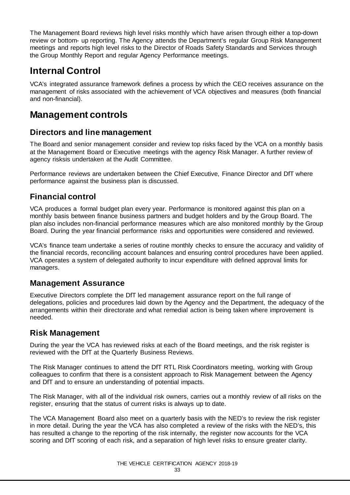The Management Board reviews high level risks monthly which have arisen through either a top-down review or bottom- up reporting. The Agency attends the Department's regular Group Risk Management meetings and reports high level risks to the Director of Roads Safety Standards and Services through the Group Monthly Report and regular Agency Performance meetings.

## **Internal Control**

VCA's integrated assurance framework defines a process by which the CEO receives assurance on the management of risks associated with the achievement of VCA objectives and measures (both financial and non-financial).

## **Management controls**

### **Directors and line management**

The Board and senior management consider and review top risks faced by the VCA on a monthly basis at the Management Board or Executive meetings with the agency Risk Manager. A further review of agency risksis undertaken at the Audit Committee.

Performance reviews are undertaken between the Chief Executive, Finance Director and DfT where performance against the business plan is discussed.

### **Financial control**

VCA produces a formal budget plan every year. Performance is monitored against this plan on a monthly basis between finance business partners and budget holders and by the Group Board. The plan also includes non-financial performance measures which are also monitored monthly by the Group Board. During the year financial performance risks and opportunities were considered and reviewed.

VCA's finance team undertake a series of routine monthly checks to ensure the accuracy and validity of the financial records, reconciling account balances and ensuring control procedures have been applied. VCA operates a system of delegated authority to incur expenditure with defined approval limits for managers.

### **Management Assurance**

Executive Directors complete the DfT led management assurance report on the full range of delegations, policies and procedures laid down by the Agency and the Department, the adequacy of the arrangements within their directorate and what remedial action is being taken where improvement is needed.

### **Risk Management**

During the year the VCA has reviewed risks at each of the Board meetings, and the risk register is reviewed with the DfT at the Quarterly Business Reviews.

The Risk Manager continues to attend the DfT RTL Risk Coordinators meeting, working with Group colleagues to confirm that there is a consistent approach to Risk Management between the Agency and DfT and to ensure an understanding of potential impacts.

The Risk Manager, with all of the individual risk owners, carries out a monthly review of all risks on the register, ensuring that the status of current risks is always up to date.

The VCA Management Board also meet on a quarterly basis with the NED's to review the risk register in more detail. During the year the VCA has also completed a review of the risks with the NED's, this has resulted a change to the reporting of the risk internally, the register now accounts for the VCA scoring and DfT scoring of each risk, and a separation of high level risks to ensure greater clarity.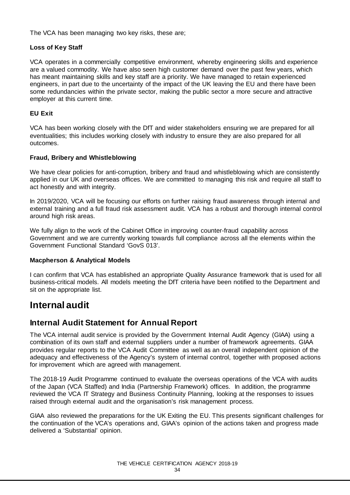The VCA has been managing two key risks, these are;

#### **Loss of Key Staff**

VCA operates in a commercially competitive environment, whereby engineering skills and experience are a valued commodity. We have also seen high customer demand over the past few years, which has meant maintaining skills and key staff are a priority. We have managed to retain experienced engineers, in part due to the uncertainty of the impact of the UK leaving the EU and there have been some redundancies within the private sector, making the public sector a more secure and attractive employer at this current time.

#### **EU Exit**

VCA has been working closely with the DfT and wider stakeholders ensuring we are prepared for all eventualities; this includes working closely with industry to ensure they are also prepared for all outcomes.

#### **Fraud, Bribery and Whistleblowing**

We have clear policies for anti-corruption, bribery and fraud and whistleblowing which are consistently applied in our UK and overseas offices. We are committed to managing this risk and require all staff to act honestly and with integrity.

In 2019/2020, VCA will be focusing our efforts on further raising fraud awareness through internal and external training and a full fraud risk assessment audit. VCA has a robust and thorough internal control around high risk areas.

We fully align to the work of the Cabinet Office in improving counter-fraud capability across Government and we are currently working towards full compliance across all the elements within the Government Functional Standard 'GovS 013'.

#### **Macpherson & Analytical Models**

I can confirm that VCA has established an appropriate Quality Assurance framework that is used for all business-critical models. All models meeting the DfT criteria have been notified to the Department and sit on the appropriate list.

### **Internal audit**

### **Internal Audit Statement for Annual Report**

The VCA internal audit service is provided by the Government Internal Audit Agency (GIAA) using a combination of its own staff and external suppliers under a number of framework agreements. GIAA provides regular reports to the VCA Audit Committee as well as an overall independent opinion of the adequacy and effectiveness of the Agency's system of internal control, together with proposed actions for improvement which are agreed with management.

The 2018-19 Audit Programme continued to evaluate the overseas operations of the VCA with audits of the Japan (VCA Staffed) and India (Partnership Framework) offices. In addition, the programme reviewed the VCA IT Strategy and Business Continuity Planning, looking at the responses to issues raised through external audit and the organisation's risk management process.

GIAA also reviewed the preparations for the UK Exiting the EU. This presents significant challenges for the continuation of the VCA's operations and, GIAA's opinion of the actions taken and progress made delivered a 'Substantial' opinion.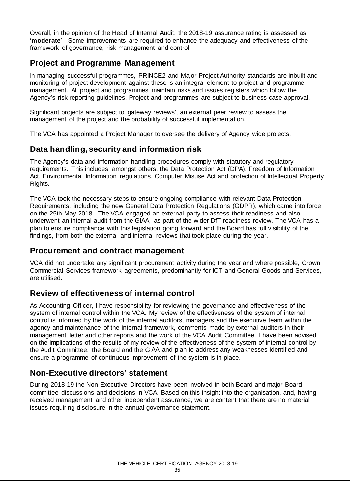Overall, in the opinion of the Head of Internal Audit, the 2018-19 assurance rating is assessed as '**moderate'** - Some improvements are required to enhance the adequacy and effectiveness of the framework of governance, risk management and control.

### **Project and Programme Management**

In managing successful programmes, PRINCE2 and Major Project Authority standards are inbuilt and monitoring of project development against these is an integral element to project and programme management. All project and programmes maintain risks and issues registers which follow the Agency's risk reporting guidelines. Project and programmes are subject to business case approval.

Significant projects are subject to 'gateway reviews', an external peer review to assess the management of the project and the probability of successful implementation.

The VCA has appointed a Project Manager to oversee the delivery of Agency wide projects.

### **Data handling, security and information risk**

The Agency's data and information handling procedures comply with statutory and regulatory requirements. This includes, amongst others, the Data Protection Act (DPA), Freedom of Information Act, Environmental Information regulations, Computer Misuse Act and protection of Intellectual Property Rights.

The VCA took the necessary steps to ensure ongoing compliance with relevant Data Protection Requirements, including the new General Data Protection Regulations (GDPR), which came into force on the 25th May 2018. The VCA engaged an external party to assess their readiness and also underwent an internal audit from the GIAA, as part of the wider DfT readiness review. The VCA has a plan to ensure compliance with this legislation going forward and the Board has full visibility of the findings, from both the external and internal reviews that took place during the year.

### **Procurement and contract management**

VCA did not undertake any significant procurement activity during the year and where possible, Crown Commercial Services framework agreements, predominantly for ICT and General Goods and Services, are utilised.

### **Review of effectiveness of internal control**

As Accounting Officer, I have responsibility for reviewing the governance and effectiveness of the system of internal control within the VCA. My review of the effectiveness of the system of internal control is informed by the work of the internal auditors, managers and the executive team within the agency and maintenance of the internal framework, comments made by external auditors in their management letter and other reports and the work of the VCA Audit Committee. I have been advised on the implications of the results of my review of the effectiveness of the system of internal control by the Audit Committee, the Board and the GIAA and plan to address any weaknesses identified and ensure a programme of continuous improvement of the system is in place.

### **Non-Executive directors' statement**

During 2018-19 the Non-Executive Directors have been involved in both Board and major Board committee discussions and decisions in VCA. Based on this insight into the organisation, and, having received management and other independent assurance, we are content that there are no material issues requiring disclosure in the annual governance statement.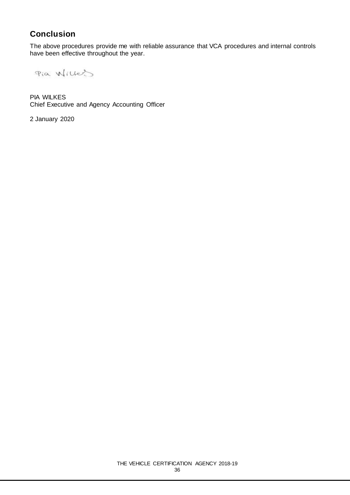## **Conclusion**

The above procedures provide me with reliable assurance that VCA procedures and internal controls have been effective throughout the year.

Pia Willes

PIA WILKES Chief Executive and Agency Accounting Officer

2 January 2020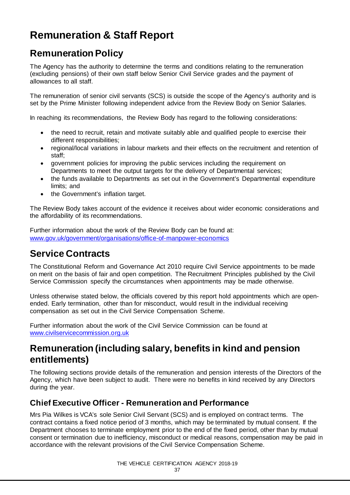## **Remuneration & Staff Report**

### **Remuneration Policy**

The Agency has the authority to determine the terms and conditions relating to the remuneration (excluding pensions) of their own staff below Senior Civil Service grades and the payment of allowances to all staff.

The remuneration of senior civil servants (SCS) is outside the scope of the Agency's authority and is set by the Prime Minister following independent advice from the Review Body on Senior Salaries.

In reaching its recommendations, the Review Body has regard to the following considerations:

- the need to recruit, retain and motivate suitably able and qualified people to exercise their different responsibilities:
- regional/local variations in labour markets and their effects on the recruitment and retention of staff;
- government policies for improving the public services including the requirement on Departments to meet the output targets for the delivery of Departmental services;
- the funds available to Departments as set out in the Government's Departmental expenditure limits; and
- the Government's inflation target.

The Review Body takes account of the evidence it receives about wider economic considerations and the affordability of its recommendations.

Further information about the work of the Review Body can be found at: [www.gov.uk/government/organisations/office-of-manpower-economics](http://www.gov.uk/government/organisations/office-of-manpower-economics)

### **Service Contracts**

The Constitutional Reform and Governance Act 2010 require Civil Service appointments to be made on merit on the basis of fair and open competition. The Recruitment Principles published by the Civil Service Commission specify the circumstances when appointments may be made otherwise.

Unless otherwise stated below, the officials covered by this report hold appointments which are openended. Early termination, other than for misconduct, would result in the individual receiving compensation as set out in the Civil Service Compensation Scheme.

Further information about the work of the Civil Service Commission can be found at [www.civilservicecommission.org.uk](http://www.civilservicecommission.org.uk/)

### **Remuneration (including salary, benefits in kind and pension entitlements)**

The following sections provide details of the remuneration and pension interests of the Directors of the Agency, which have been subject to audit. There were no benefits in kind received by any Directors during the year.

### **Chief Executive Officer - Remuneration and Performance**

Mrs Pia Wilkes is VCA's sole Senior Civil Servant (SCS) and is employed on contract terms. The contract contains a fixed notice period of 3 months, which may be terminated by mutual consent. If the Department chooses to terminate employment prior to the end of the fixed period, other than by mutual consent or termination due to inefficiency, misconduct or medical reasons, compensation may be paid in accordance with the relevant provisions of the Civil Service Compensation Scheme.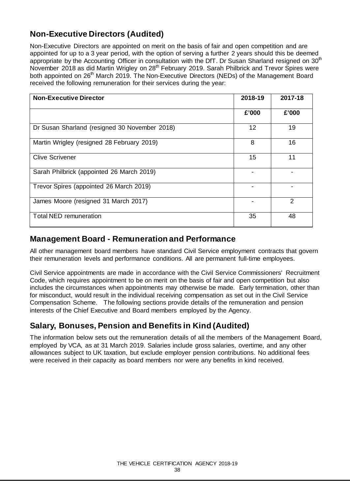### **Non-Executive Directors (Audited)**

Non-Executive Directors are appointed on merit on the basis of fair and open competition and are appointed for up to a 3 year period, with the option of serving a further 2 years should this be deemed appropriate by the Accounting Officer in consultation with the DfT. Dr Susan Sharland resigned on 30<sup>th</sup> November 2018 as did Martin Wrigley on 28<sup>th</sup> February 2019. Sarah Philbrick and Trevor Spires were both appointed on 26<sup>th</sup> March 2019. The Non-Executive Directors (NEDs) of the Management Board received the following remuneration for their services during the year:

| <b>Non-Executive Director</b>                 | 2018-19           | 2017-18        |
|-----------------------------------------------|-------------------|----------------|
|                                               | £'000             | £'000          |
| Dr Susan Sharland (resigned 30 November 2018) | $12 \overline{ }$ | 19             |
| Martin Wrigley (resigned 28 February 2019)    | 8                 | 16             |
| <b>Clive Scrivener</b>                        | 15                | 11             |
| Sarah Philbrick (appointed 26 March 2019)     |                   |                |
| Trevor Spires (appointed 26 March 2019)       |                   |                |
| James Moore (resigned 31 March 2017)          |                   | $\mathfrak{p}$ |
| <b>Total NED remuneration</b>                 | 35                | 48             |

### **Management Board - Remuneration and Performance**

All other management board members have standard Civil Service employment contracts that govern their remuneration levels and performance conditions. All are permanent full-time employees.

Civil Service appointments are made in accordance with the Civil Service Commissioners' Recruitment Code, which requires appointment to be on merit on the basis of fair and open competition but also includes the circumstances when appointments may otherwise be made. Early termination, other than for misconduct, would result in the individual receiving compensation as set out in the Civil Service Compensation Scheme. The following sections provide details of the remuneration and pension interests of the Chief Executive and Board members employed by the Agency.

### **Salary, Bonuses, Pension and Benefits in Kind (Audited)**

The information below sets out the remuneration details of all the members of the Management Board, employed by VCA, as at 31 March 2019. Salaries include gross salaries, overtime, and any other allowances subject to UK taxation, but exclude employer pension contributions. No additional fees were received in their capacity as board members nor were any benefits in kind received.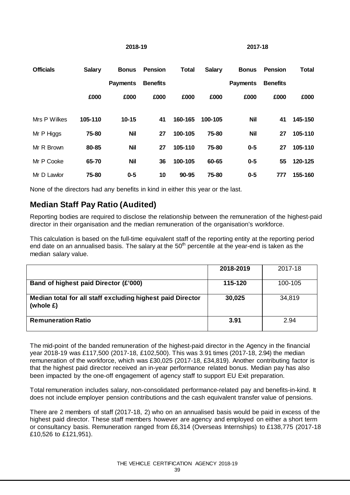### **2018-19 2017-18**

| <b>Officials</b> | <b>Salary</b> | <b>Bonus</b>    | <b>Pension</b>  | <b>Total</b> | <b>Salary</b> | <b>Bonus</b>    | <b>Pension</b>  | <b>Total</b> |
|------------------|---------------|-----------------|-----------------|--------------|---------------|-----------------|-----------------|--------------|
|                  |               | <b>Payments</b> | <b>Benefits</b> |              |               | <b>Payments</b> | <b>Benefits</b> |              |
|                  | £000          | £000            | £000            | £000         | £000          | £000            | £000            | £000         |
|                  |               |                 |                 |              |               |                 |                 |              |
| Mrs P Wilkes     | 105-110       | $10 - 15$       | 41              | 160-165      | 100-105       | <b>Nil</b>      | 41              | 145-150      |
| Mr P Higgs       | 75-80         | <b>Nil</b>      | 27              | 100-105      | 75-80         | <b>Nil</b>      | 27              | 105-110      |
| Mr R Brown       | 80-85         | <b>Nil</b>      | 27              | 105-110      | 75-80         | $0-5$           | 27              | 105-110      |
| Mr P Cooke       | 65-70         | <b>Nil</b>      | 36              | 100-105      | 60-65         | $0 - 5$         | 55              | 120-125      |
| Mr D Lawlor      | 75-80         | $0-5$           | 10              | $90 - 95$    | 75-80         | $0-5$           | 777             | 155-160      |

None of the directors had any benefits in kind in either this year or the last.

### **Median Staff Pay Ratio (Audited)**

Reporting bodies are required to disclose the relationship between the remuneration of the highest-paid director in their organisation and the median remuneration of the organisation's workforce.

This calculation is based on the full-time equivalent staff of the reporting entity at the reporting period end date on an annualised basis. The salary at the  $50<sup>th</sup>$  percentile at the year-end is taken as the median salary value.

|                                                                         | 2018-2019 | 2017-18 |
|-------------------------------------------------------------------------|-----------|---------|
| Band of highest paid Director (£'000)                                   | 115-120   | 100-105 |
| Median total for all staff excluding highest paid Director<br>(whole E) | 30,025    | 34,819  |
| <b>Remuneration Ratio</b>                                               | 3.91      | 2.94    |

The mid-point of the banded remuneration of the highest-paid director in the Agency in the financial year 2018-19 was £117,500 (2017-18, £102,500). This was 3.91 times (2017-18, 2.94) the median remuneration of the workforce, which was £30,025 (2017-18, £34,819). Another contributing factor is that the highest paid director received an in-year performance related bonus. Median pay has also been impacted by the one-off engagement of agency staff to support EU Exit preparation.

Total remuneration includes salary, non-consolidated performance-related pay and benefits-in-kind. It does not include employer pension contributions and the cash equivalent transfer value of pensions.

There are 2 members of staff (2017-18, 2) who on an annualised basis would be paid in excess of the highest paid director. These staff members however are agency and employed on either a short term or consultancy basis. Remuneration ranged from £6,314 (Overseas Internships) to £138,775 (2017-18 £10,526 to £121,951).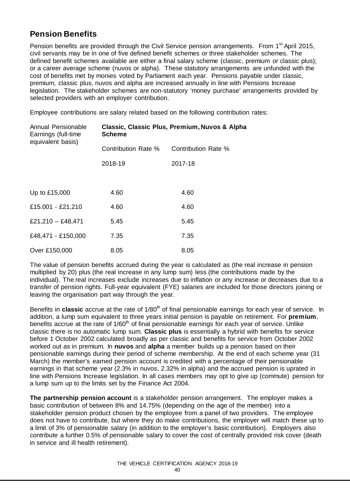### **Pension Benefits**

Pension benefits are provided through the Civil Service pension arrangements. From 1<sup>st</sup> April 2015, civil servants may be in one of five defined benefit schemes or three stakeholder schemes. The defined benefit schemes available are either a final salary scheme (classic, premium or classic plus); or a career average scheme (nuvos or alpha). These statutory arrangements are unfunded with the cost of benefits met by monies voted by Parliament each year. Pensions payable under classic, premium, classic plus, nuvos and alpha are increased annually in line with Pensions Increase legislation. The stakeholder schemes are non-statutory 'money purchase' arrangements provided by selected providers with an employer contribution.

Employee contributions are salary related based on the following contribution rates:

| Annual Pensionable<br>Earnings (full-time<br>equivalent basis) | Classic, Classic Plus, Premium, Nuvos & Alpha<br><b>Scheme</b> |                     |  |  |
|----------------------------------------------------------------|----------------------------------------------------------------|---------------------|--|--|
|                                                                | Contribution Rate %                                            | Contribution Rate % |  |  |
|                                                                | 2018-19                                                        | 2017-18             |  |  |
|                                                                |                                                                |                     |  |  |
| Up to £15,000                                                  | 4.60                                                           | 4.60                |  |  |
| £15.001 - £21,210                                              | 4.60                                                           | 4.60                |  |  |
| £21,210 - £48,471                                              | 5.45                                                           | 5.45                |  |  |
| £48,471 - £150,000                                             | 7.35                                                           | 7.35                |  |  |
| Over £150,000                                                  | 8.05                                                           | 8.05                |  |  |

The value of pension benefits accrued during the year is calculated as (the real increase in pension multiplied by 20) plus (the real increase in any lump sum) less (the contributions made by the individual). The real increases exclude increases due to inflation or any increase or decreases due to a transfer of pension rights. Full-year equivalent (FYE) salaries are included for those directors joining or leaving the organisation part way through the year.

Benefits in **classic** accrue at the rate of 1/80<sup>th</sup> of final pensionable earnings for each year of service. In addition, a lump sum equivalent to three years initial pension is payable on retirement. For **premium**, benefits accrue at the rate of  $1/60<sup>th</sup>$  of final pensionable earnings for each year of service. Unlike classic there is no automatic lump sum. **Classic plus** is essentially a hybrid with benefits for service before 1 October 2002 calculated broadly as per classic and benefits for service from October 2002 worked out as in premium. In **nuvos** and **alpha** a member builds up a pension based on their pensionable earnings during their period of scheme membership. At the end of each scheme year (31 March) the member's earned pension account is credited with a percentage of their pensionable earnings in that scheme year (2.3% in nuvos, 2.32% in alpha) and the accrued pension is uprated in line with Pensions Increase legislation. In all cases members may opt to give up (commute) pension for a lump sum up to the limits set by the Finance Act 2004.

**The partnership pension account** is a stakeholder pension arrangement. The employer makes a basic contribution of between 8% and 14.75% (depending on the age of the member) into a stakeholder pension product chosen by the employee from a panel of two providers. The employee does not have to contribute, but where they do make contributions, the employer will match these up to a limit of 3% of pensionable salary (in addition to the employer's basic contribution). Employers also contribute a further 0.5% of pensionable salary to cover the cost of centrally provided risk cover (death in service and ill health retirement).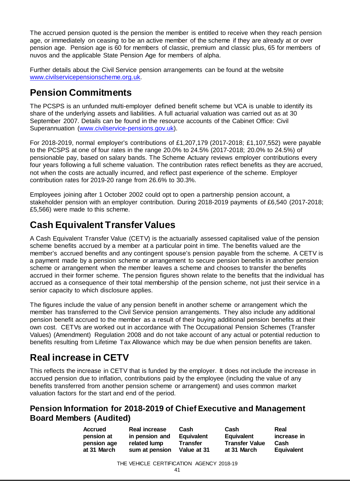The accrued pension quoted is the pension the member is entitled to receive when they reach pension age, or immediately on ceasing to be an active member of the scheme if they are already at or over pension age. Pension age is 60 for members of classic, premium and classic plus, 65 for members of nuvos and the applicable State Pension Age for members of alpha.

Further details about the Civil Service pension arrangements can be found at the website [www.civilservicepensionscheme.org.uk.](http://www.civilservicepensionscheme.org.uk/) 

### **Pension Commitments**

The PCSPS is an unfunded multi-employer defined benefit scheme but VCA is unable to identify its share of the underlying assets and liabilities. A full actuarial valuation was carried out as at 30 September 2007. Details can be found in the resource accounts of the Cabinet Office: Civil Superannuation [\(www.civilservice-pensions.gov.uk\).](http://www.civilservice-pensions.gov.uk/)

For 2018-2019, normal employer's contributions of £1,207,179 (2017-2018; £1,107,552) were payable to the PCSPS at one of four rates in the range 20.0% to 24.5% (2017-2018; 20.0% to 24.5%) of pensionable pay, based on salary bands. The Scheme Actuary reviews employer contributions every four years following a full scheme valuation. The contribution rates reflect benefits as they are accrued, not when the costs are actually incurred, and reflect past experience of the scheme. Employer contribution rates for 2019-20 range from 26.6% to 30.3%.

Employees joining after 1 October 2002 could opt to open a partnership pension account, a stakeholder pension with an employer contribution. During 2018-2019 payments of £6,540 (2017-2018; £5,566) were made to this scheme.

## **Cash Equivalent Transfer Values**

A Cash Equivalent Transfer Value (CETV) is the actuarially assessed capitalised value of the pension scheme benefits accrued by a member at a particular point in time. The benefits valued are the member's accrued benefits and any contingent spouse's pension payable from the scheme. A CETV is a payment made by a pension scheme or arrangement to secure pension benefits in another pension scheme or arrangement when the member leaves a scheme and chooses to transfer the benefits accrued in their former scheme. The pension figures shown relate to the benefits that the individual has accrued as a consequence of their total membership of the pension scheme, not just their service in a senior capacity to which disclosure applies.

The figures include the value of any pension benefit in another scheme or arrangement which the member has transferred to the Civil Service pension arrangements. They also include any additional pension benefit accrued to the member as a result of their buying additional pension benefits at their own cost. CETVs are worked out in accordance with The Occupational Pension Schemes (Transfer Values) (Amendment) Regulation 2008 and do not take account of any actual or potential reduction to benefits resulting from Lifetime Tax Allowance which may be due when pension benefits are taken.

## **Real increase in CETV**

This reflects the increase in CETV that is funded by the employer. It does not include the increase in accrued pension due to inflation, contributions paid by the employee (including the value of any benefits transferred from another pension scheme or arrangement) and uses common market valuation factors for the start and end of the period.

### **Pension Information for 2018-2019 of Chief Executive and Management Board Members (Audited)**

| <b>Accrued</b> | <b>Real increase</b> | Cash            | Cash                  | Real              |
|----------------|----------------------|-----------------|-----------------------|-------------------|
| pension at     | in pension and       | Equivalent      | <b>Equivalent</b>     | increase in       |
| pension age    | related lump         | <b>Transfer</b> | <b>Transfer Value</b> | Cash              |
| at 31 March    | sum at pension       | Value at 31     | at 31 March           | <b>Equivalent</b> |
|                |                      |                 |                       |                   |

THE VEHICLE CERTIFICATION AGENCY 2018-19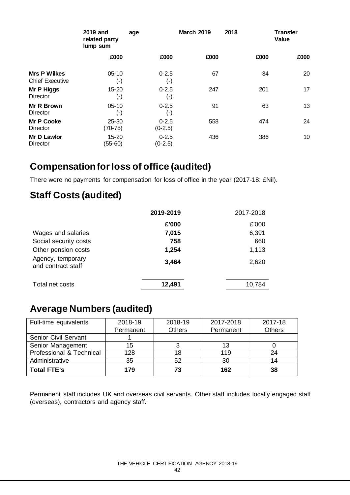|                                               | 2019 and<br>related party<br>lump sum | age                             | <b>March 2019</b> | 2018 | <b>Transfer</b><br>Value |
|-----------------------------------------------|---------------------------------------|---------------------------------|-------------------|------|--------------------------|
|                                               | £000                                  | £000                            | £000              | £000 | £000                     |
| <b>Mrs P Wilkes</b><br><b>Chief Executive</b> | $05 - 10$<br>$(\textnormal{-})$       | $0 - 2.5$<br>$(\textnormal{-})$ | 67                | 34   | 20                       |
| Mr P Higgs<br><b>Director</b>                 | 15-20<br>$(\cdot)$                    | $0 - 2.5$<br>(-)                | 247               | 201  | 17                       |
| Mr R Brown<br>Director                        | $05 - 10$<br>$(\cdot)$                | $0 - 2.5$<br>$(\textnormal{-})$ | 91                | 63   | 13                       |
| <b>Mr P Cooke</b><br>Director                 | $25 - 30$<br>$(70-75)$                | $0 - 2.5$<br>$(0-2.5)$          | 558               | 474  | 24                       |
| Mr D Lawlor<br>Director                       | $15 - 20$<br>(55-60)                  | $0 - 2.5$<br>$(0-2.5)$          | 436               | 386  | 10                       |

## **Compensationforloss of office (audited)**

There were no payments for compensation for loss of office in the year (2017-18: £Nil).

### **Staff Costs (audited)**

|                                         | 2019-2019 | 2017-2018 |
|-----------------------------------------|-----------|-----------|
|                                         | £'000     | £'000     |
| Wages and salaries                      | 7,015     | 6,391     |
| Social security costs                   | 758       | 660       |
| Other pension costs                     | 1,254     | 1,113     |
| Agency, temporary<br>and contract staff | 3,464     | 2,620     |
| Total net costs                         | 12,491    | 10,784    |

## **Average Numbers (audited)**

| Full-time equivalents       | 2018-19   | 2018-19       | 2017-2018 | 2017-18       |
|-----------------------------|-----------|---------------|-----------|---------------|
|                             | Permanent | <b>Others</b> | Permanent | <b>Others</b> |
| <b>Senior Civil Servant</b> |           |               |           |               |
| Senior Management           | 15        |               | 13        |               |
| Professional & Technical    | 128       | 18            | 119       | 24            |
| Administrative              | 35        | 52            | 30        | 14            |
| <b>Total FTE's</b>          | 179       | 73            | 162       | 38            |

Permanent staff includes UK and overseas civil servants. Other staff includes locally engaged staff (overseas), contractors and agency staff.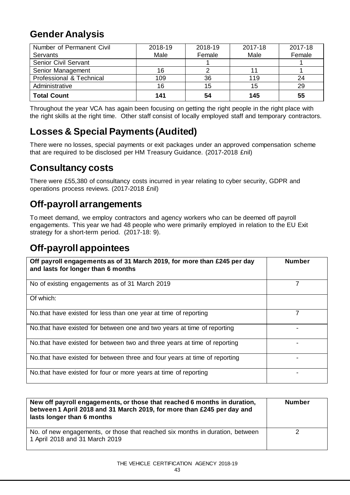### **Gender Analysis**

| Number of Permanent Civil   | 2018-19 | 2018-19 | 2017-18 | 2017-18 |
|-----------------------------|---------|---------|---------|---------|
| Servants                    | Male    | Female  | Male    | Female  |
| <b>Senior Civil Servant</b> |         |         |         |         |
| Senior Management           | 16      |         |         |         |
| Professional & Technical    | 109     | 36      | 119     | 24      |
| Administrative              | 16      | 15      | 15      | 29      |
| <b>Total Count</b>          | 141     | 54      | 145     | 55      |

Throughout the year VCA has again been focusing on getting the right people in the right place with the right skills at the right time. Other staff consist of locally employed staff and temporary contractors.

## **Losses & Special Payments (Audited)**

There were no losses, special payments or exit packages under an approved compensation scheme that are required to be disclosed per HM Treasury Guidance. (2017-2018 £nil)

### **Consultancy costs**

There were £55,380 of consultancy costs incurred in year relating to cyber security, GDPR and operations process reviews. (2017-2018 £nil)

### **Off-payroll arrangements**

To meet demand, we employ contractors and agency workers who can be deemed off payroll engagements. This year we had 48 people who were primarily employed in relation to the EU Exit strategy for a short-term period. (2017-18: 9).

### **Off-payroll appointees**

| Off payroll engagements as of 31 March 2019, for more than £245 per day<br>and lasts for longer than 6 months | <b>Number</b> |
|---------------------------------------------------------------------------------------------------------------|---------------|
| No of existing engagements as of 31 March 2019                                                                |               |
| Of which:                                                                                                     |               |
| No that have existed for less than one year at time of reporting                                              | 7             |
| No.that have existed for between one and two years at time of reporting                                       |               |
| No.that have existed for between two and three years at time of reporting                                     |               |
| No that have existed for between three and four years at time of reporting                                    |               |
| No that have existed for four or more years at time of reporting                                              |               |

| New off payroll engagements, or those that reached 6 months in duration,<br>between 1 April 2018 and 31 March 2019, for more than £245 per day and<br>lasts longer than 6 months | <b>Number</b> |
|----------------------------------------------------------------------------------------------------------------------------------------------------------------------------------|---------------|
| No. of new engagements, or those that reached six months in duration, between<br>1 April 2018 and 31 March 2019                                                                  |               |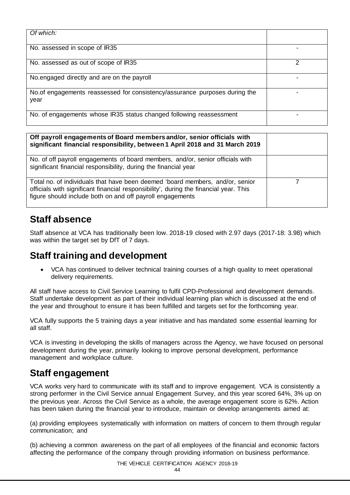| Of which:                                                                           |  |
|-------------------------------------------------------------------------------------|--|
| No. assessed in scope of IR35                                                       |  |
| No. assessed as out of scope of IR35                                                |  |
| No engaged directly and are on the payroll                                          |  |
| No. of engagements reassessed for consistency/assurance purposes during the<br>year |  |
| No. of engagements whose IR35 status changed following reassessment                 |  |

| Off payroll engagements of Board members and/or, senior officials with<br>significant financial responsibility, between 1 April 2018 and 31 March 2019                                                                              |  |
|-------------------------------------------------------------------------------------------------------------------------------------------------------------------------------------------------------------------------------------|--|
| No. of off payroll engagements of board members, and/or, senior officials with<br>significant financial responsibility, during the financial year                                                                                   |  |
| Total no. of individuals that have been deemed 'board members, and/or, senior<br>officials with significant financial responsibility', during the financial year. This<br>figure should include both on and off payroll engagements |  |

### **Staff absence**

Staff absence at VCA has traditionally been low. 2018-19 closed with 2.97 days (2017-18: 3.98) which was within the target set by DfT of 7 days.

### **Staff training and development**

• VCA has continued to deliver technical training courses of a high quality to meet operational delivery requirements.

All staff have access to Civil Service Learning to fulfil CPD-Professional and development demands. Staff undertake development as part of their individual learning plan which is discussed at the end of the year and throughout to ensure it has been fulfilled and targets set for the forthcoming year.

VCA fully supports the 5 training days a year initiative and has mandated some essential learning for all staff.

VCA is investing in developing the skills of managers across the Agency, we have focused on personal development during the year, primarily looking to improve personal development, performance management and workplace culture.

### **Staff engagement**

VCA works very hard to communicate with its staff and to improve engagement. VCA is consistently a strong performer in the Civil Service annual Engagement Survey, and this year scored 64%, 3% up on the previous year. Across the Civil Service as a whole, the average engagement score is 62%. Action has been taken during the financial year to introduce, maintain or develop arrangements aimed at:

(a) providing employees systematically with information on matters of concern to them through regular communication; and

(b) achieving a common awareness on the part of all employees of the financial and economic factors affecting the performance of the company through providing information on business performance.

THE VEHICLE CERTIFICATION AGENCY 2018-19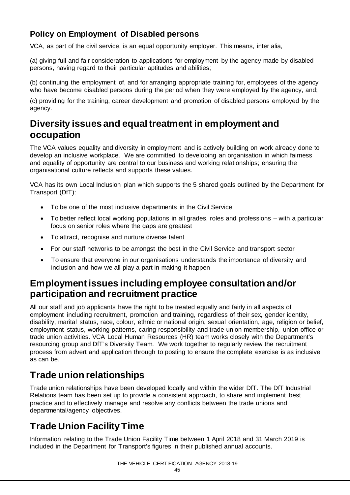### **Policy on Employment of Disabled persons**

VCA, as part of the civil service, is an equal opportunity employer. This means, inter alia,

(a) giving full and fair consideration to applications for employment by the agency made by disabled persons, having regard to their particular aptitudes and abilities;

(b) continuing the employment of, and for arranging appropriate training for, employees of the agency who have become disabled persons during the period when they were employed by the agency, and;

(c) providing for the training, career development and promotion of disabled persons employed by the agency.

### **Diversity issues and equal treatment in employment and occupation**

The VCA values equality and diversity in employment and is actively building on work already done to develop an inclusive workplace. We are committed to developing an organisation in which fairness and equality of opportunity are central to our business and working relationships; ensuring the organisational culture reflects and supports these values.

VCA has its own Local Inclusion plan which supports the 5 shared goals outlined by the Department for Transport (DfT):

- To be one of the most inclusive departments in the Civil Service
- To better reflect local working populations in all grades, roles and professions with a particular focus on senior roles where the gaps are greatest
- To attract, recognise and nurture diverse talent
- For our staff networks to be amongst the best in the Civil Service and transport sector
- To ensure that everyone in our organisations understands the importance of diversity and inclusion and how we all play a part in making it happen

### **Employment issues including employee consultation and/or participation and recruitment practice**

All our staff and job applicants have the right to be treated equally and fairly in all aspects of employment including recruitment, promotion and training, regardless of their sex, gender identity, disability, marital status, race, colour, ethnic or national origin, sexual orientation, age, religion or belief, employment status, working patterns, caring responsibility and trade union membership, union office or trade union activities. VCA Local Human Resources (HR) team works closely with the Department's resourcing group and DfT's Diversity Team. We work together to regularly review the recruitment process from advert and application through to posting to ensure the complete exercise is as inclusive as can be.

### **Trade union relationships**

Trade union relationships have been developed locally and within the wider DfT. The DfT Industrial Relations team has been set up to provide a consistent approach, to share and implement best practice and to effectively manage and resolve any conflicts between the trade unions and departmental/agency objectives.

## **Trade Union Facility Time**

Information relating to the Trade Union Facility Time between 1 April 2018 and 31 March 2019 is included in the Department for Transport's figures in their published annual accounts.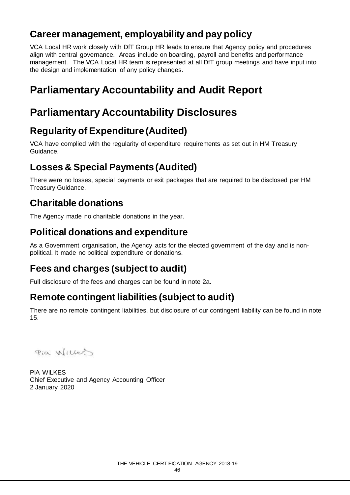### **Career management, employability and pay policy**

VCA Local HR work closely with DfT Group HR leads to ensure that Agency policy and procedures align with central governance. Areas include on boarding, payroll and benefits and performance management. The VCA Local HR team is represented at all DfT group meetings and have input into the design and implementation of any policy changes.

## **Parliamentary Accountability and Audit Report**

## **Parliamentary Accountability Disclosures**

## **Regularity of Expenditure (Audited)**

VCA have complied with the regularity of expenditure requirements as set out in HM Treasury Guidance.

## **Losses & Special Payments (Audited)**

There were no losses, special payments or exit packages that are required to be disclosed per HM Treasury Guidance.

### **Charitable donations**

The Agency made no charitable donations in the year.

### **Political donations and expenditure**

As a Government organisation, the Agency acts for the elected government of the day and is nonpolitical. It made no political expenditure or donations.

## **Fees and charges (subject to audit)**

Full disclosure of the fees and charges can be found in note 2a.

## **Remote contingent liabilities (subject to audit)**

There are no remote contingent liabilities, but disclosure of our contingent liability can be found in note 15.

Pia Willes

PIA WILKES Chief Executive and Agency Accounting Officer 2 January 2020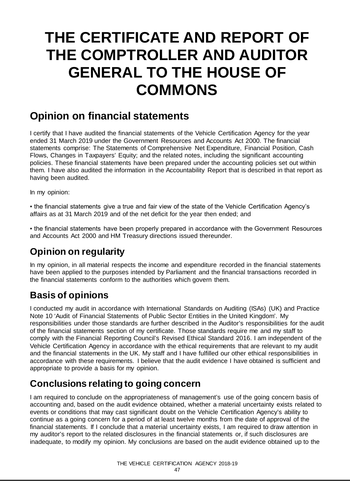## **THE CERTIFICATE AND REPORT OF THE COMPTROLLER AND AUDITOR GENERAL TO THE HOUSE OF COMMONS**

## **Opinion on financial statements**

I certify that I have audited the financial statements of the Vehicle Certification Agency for the year ended 31 March 2019 under the Government Resources and Accounts Act 2000. The financial statements comprise: The Statements of Comprehensive Net Expenditure, Financial Position, Cash Flows, Changes in Taxpayers' Equity; and the related notes, including the significant accounting policies. These financial statements have been prepared under the accounting policies set out within them. I have also audited the information in the Accountability Report that is described in that report as having been audited.

In my opinion:

▪ the financial statements give a true and fair view of the state of the Vehicle Certification Agency's affairs as at 31 March 2019 and of the net deficit for the year then ended; and

. the financial statements have been properly prepared in accordance with the Government Resources and Accounts Act 2000 and HM Treasury directions issued thereunder.

### **Opinion on regularity**

In my opinion, in all material respects the income and expenditure recorded in the financial statements have been applied to the purposes intended by Parliament and the financial transactions recorded in the financial statements conform to the authorities which govern them.

### **Basis of opinions**

I conducted my audit in accordance with International Standards on Auditing (ISAs) (UK) and Practice Note 10 'Audit of Financial Statements of Public Sector Entities in the United Kingdom'. My responsibilities under those standards are further described in the Auditor's responsibilities for the audit of the financial statements section of my certificate. Those standards require me and my staff to comply with the Financial Reporting Council's Revised Ethical Standard 2016. I am independent of the Vehicle Certification Agency in accordance with the ethical requirements that are relevant to my audit and the financial statements in the UK. My staff and I have fulfilled our other ethical responsibilities in accordance with these requirements. I believe that the audit evidence I have obtained is sufficient and appropriate to provide a basis for my opinion.

## **Conclusions relating to going concern**

I am required to conclude on the appropriateness of management's use of the going concern basis of accounting and, based on the audit evidence obtained, whether a material uncertainty exists related to events or conditions that may cast significant doubt on the Vehicle Certification Agency's ability to continue as a going concern for a period of at least twelve months from the date of approval of the financial statements. If I conclude that a material uncertainty exists, I am required to draw attention in my auditor's report to the related disclosures in the financial statements or, if such disclosures are inadequate, to modify my opinion. My conclusions are based on the audit evidence obtained up to the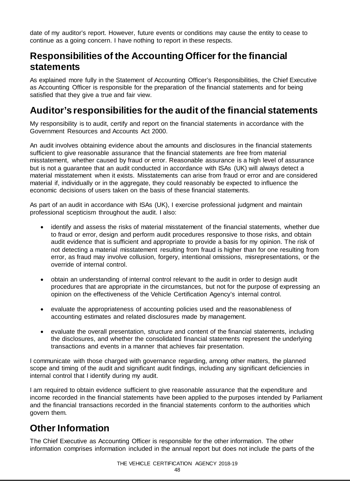date of my auditor's report. However, future events or conditions may cause the entity to cease to continue as a going concern. I have nothing to report in these respects.

### **Responsibilities of the Accounting Officer for the financial statements**

As explained more fully in the Statement of Accounting Officer's Responsibilities, the Chief Executive as Accounting Officer is responsible for the preparation of the financial statements and for being satisfied that they give a true and fair view.

### **Auditor's responsibilities for the audit of the financial statements**

My responsibility is to audit, certify and report on the financial statements in accordance with the Government Resources and Accounts Act 2000.

An audit involves obtaining evidence about the amounts and disclosures in the financial statements sufficient to give reasonable assurance that the financial statements are free from material misstatement, whether caused by fraud or error. Reasonable assurance is a high level of assurance but is not a guarantee that an audit conducted in accordance with ISAs (UK) will always detect a material misstatement when it exists. Misstatements can arise from fraud or error and are considered material if, individually or in the aggregate, they could reasonably be expected to influence the economic decisions of users taken on the basis of these financial statements.

As part of an audit in accordance with ISAs (UK), I exercise professional judgment and maintain professional scepticism throughout the audit. I also:

- identify and assess the risks of material misstatement of the financial statements, whether due to fraud or error, design and perform audit procedures responsive to those risks, and obtain audit evidence that is sufficient and appropriate to provide a basis for my opinion. The risk of not detecting a material misstatement resulting from fraud is higher than for one resulting from error, as fraud may involve collusion, forgery, intentional omissions, misrepresentations, or the override of internal control.
- obtain an understanding of internal control relevant to the audit in order to design audit procedures that are appropriate in the circumstances, but not for the purpose of expressing an opinion on the effectiveness of the Vehicle Certification Agency's internal control.
- evaluate the appropriateness of accounting policies used and the reasonableness of accounting estimates and related disclosures made by management.
- evaluate the overall presentation, structure and content of the financial statements, including the disclosures, and whether the consolidated financial statements represent the underlying transactions and events in a manner that achieves fair presentation.

I communicate with those charged with governance regarding, among other matters, the planned scope and timing of the audit and significant audit findings, including any significant deficiencies in internal control that I identify during my audit.

I am required to obtain evidence sufficient to give reasonable assurance that the expenditure and income recorded in the financial statements have been applied to the purposes intended by Parliament and the financial transactions recorded in the financial statements conform to the authorities which govern them.

### **Other Information**

The Chief Executive as Accounting Officer is responsible for the other information. The other information comprises information included in the annual report but does not include the parts of the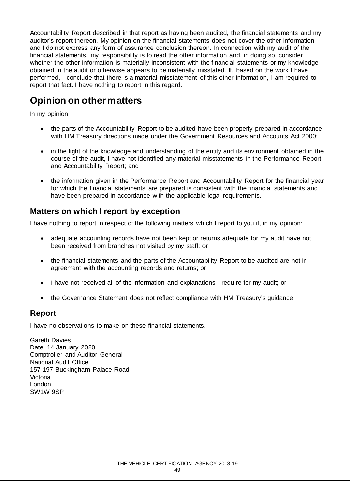Accountability Report described in that report as having been audited, the financial statements and my auditor's report thereon. My opinion on the financial statements does not cover the other information and I do not express any form of assurance conclusion thereon. In connection with my audit of the financial statements, my responsibility is to read the other information and, in doing so, consider whether the other information is materially inconsistent with the financial statements or my knowledge obtained in the audit or otherwise appears to be materially misstated. If, based on the work I have performed, I conclude that there is a material misstatement of this other information, I am required to report that fact. I have nothing to report in this regard.

### **Opinion on other matters**

In my opinion:

- the parts of the Accountability Report to be audited have been properly prepared in accordance with HM Treasury directions made under the Government Resources and Accounts Act 2000;
- in the light of the knowledge and understanding of the entity and its environment obtained in the course of the audit, I have not identified any material misstatements in the Performance Report and Accountability Report; and
- the information given in the Performance Report and Accountability Report for the financial year for which the financial statements are prepared is consistent with the financial statements and have been prepared in accordance with the applicable legal requirements.

### **Matters on which I report by exception**

I have nothing to report in respect of the following matters which I report to you if, in my opinion:

- adequate accounting records have not been kept or returns adequate for my audit have not been received from branches not visited by my staff; or
- the financial statements and the parts of the Accountability Report to be audited are not in agreement with the accounting records and returns; or
- I have not received all of the information and explanations I require for my audit; or
- the Governance Statement does not reflect compliance with HM Treasury's guidance.

### **Report**

I have no observations to make on these financial statements.

Gareth Davies Date: 14 January 2020 Comptroller and Auditor General National Audit Office 157-197 Buckingham Palace Road Victoria London SW1W 9SP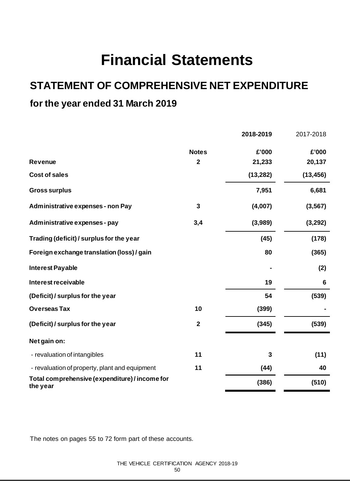## **Financial Statements**

## **STATEMENT OF COMPREHENSIVE NET EXPENDITURE**

### **for the year ended 31 March 2019**

|                                                            |              | 2018-2019 | 2017-2018       |
|------------------------------------------------------------|--------------|-----------|-----------------|
|                                                            | <b>Notes</b> | £'000     | £'000           |
| <b>Revenue</b>                                             | $\mathbf{2}$ | 21,233    | 20,137          |
| <b>Cost of sales</b>                                       |              | (13, 282) | (13, 456)       |
| <b>Gross surplus</b>                                       |              | 7,951     | 6,681           |
| Administrative expenses - non Pay                          | 3            | (4,007)   | (3, 567)        |
| Administrative expenses - pay                              | 3,4          | (3,989)   | (3, 292)        |
| Trading (deficit) / surplus for the year                   |              | (45)      | (178)           |
| Foreign exchange translation (loss) / gain                 |              | 80        | (365)           |
| <b>Interest Payable</b>                                    |              |           | (2)             |
| Interest receivable                                        |              | 19        | $6\phantom{1}6$ |
| (Deficit) / surplus for the year                           |              | 54        | (539)           |
| <b>Overseas Tax</b>                                        | 10           | (399)     |                 |
| (Deficit) / surplus for the year                           | $\mathbf{2}$ | (345)     | (539)           |
| Net gain on:                                               |              |           |                 |
| - revaluation of intangibles                               | 11           | 3         | (11)            |
| - revaluation of property, plant and equipment             | 11           | (44)      | 40              |
| Total comprehensive (expenditure) / income for<br>the year |              | (386)     | (510)           |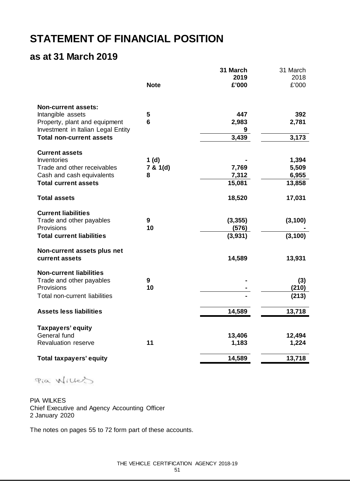## **STATEMENT OF FINANCIAL POSITION**

### **as at 31 March 2019**

|                                                                     |               | 31 March<br>2019  | 31 March<br>2018 |
|---------------------------------------------------------------------|---------------|-------------------|------------------|
|                                                                     | <b>Note</b>   | £'000             | £'000            |
| <b>Non-current assets:</b>                                          |               |                   |                  |
| Intangible assets                                                   | 5<br>6        | 447               | 392              |
| Property, plant and equipment<br>Investment in Italian Legal Entity |               | 2,983<br>9        | 2,781            |
| <b>Total non-current assets</b>                                     |               | 3,439             | 3,173            |
| <b>Current assets</b>                                               |               |                   |                  |
| Inventories                                                         | 1(d)          |                   | 1,394            |
| Trade and other receivables<br>Cash and cash equivalents            | 7 & 1(d)<br>8 | 7,769<br>7,312    | 5,509<br>6,955   |
| <b>Total current assets</b>                                         |               | 15,081            | 13,858           |
| <b>Total assets</b>                                                 |               | 18,520            | 17,031           |
|                                                                     |               |                   |                  |
| <b>Current liabilities</b>                                          |               |                   |                  |
| Trade and other payables<br>Provisions                              | 9<br>10       | (3, 355)<br>(576) | (3, 100)         |
| <b>Total current liabilities</b>                                    |               | (3,931)           | (3, 100)         |
|                                                                     |               |                   |                  |
| Non-current assets plus net<br>current assets                       |               | 14,589            | 13,931           |
| <b>Non-current liabilities</b>                                      |               |                   |                  |
| Trade and other payables                                            | 9             |                   | (3)              |
| Provisions                                                          | 10            |                   | (210)            |
| Total non-current liabilities                                       |               |                   | (213)            |
| <b>Assets less liabilities</b>                                      |               | 14,589            | 13,718           |
| Taxpayers' equity                                                   |               |                   |                  |
| General fund                                                        |               | 13,406            | 12,494           |
| <b>Revaluation reserve</b>                                          | 11            | 1,183             | 1,224            |
| <b>Total taxpayers' equity</b>                                      |               | 14,589            | 13,718           |
|                                                                     |               |                   |                  |

Pia Willes

PIA WILKES Chief Executive and Agency Accounting Officer 2 January 2020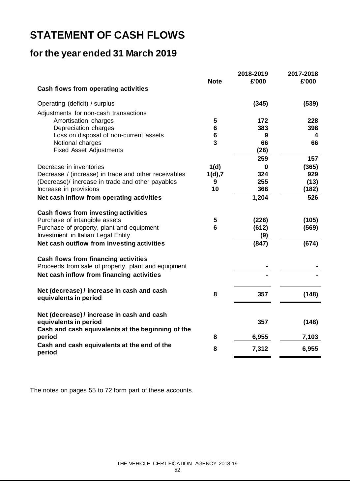## **STATEMENT OF CASH FLOWS**

### **for the year ended 31 March 2019**

|                                                             | <b>Note</b>    | 2018-2019<br>£'000 | 2017-2018<br>£'000 |
|-------------------------------------------------------------|----------------|--------------------|--------------------|
| <b>Cash flows from operating activities</b>                 |                |                    |                    |
| Operating (deficit) / surplus                               |                | (345)              | (539)              |
| Adjustments for non-cash transactions                       |                |                    |                    |
| Amortisation charges                                        | 5              | 172                | 228                |
| Depreciation charges                                        | $6\phantom{1}$ | 383                | 398                |
| Loss on disposal of non-current assets                      | $\bf 6$        | 9                  | 4                  |
| Notional charges                                            | 3              | 66                 | 66                 |
| <b>Fixed Asset Adjustments</b>                              |                | (26)               |                    |
|                                                             |                | 259                | 157                |
| Decrease in inventories                                     | 1(d)           | 0                  | (365)              |
| Decrease / (increase) in trade and other receivables        | 1(d), 7        | 324                | 929                |
| (Decrease)/ increase in trade and other payables            | 9              | 255                | (13)               |
| Increase in provisions                                      | 10             | 366                | (182)              |
| Net cash inflow from operating activities                   |                | 1,204              | 526                |
| <b>Cash flows from investing activities</b>                 |                |                    |                    |
| Purchase of intangible assets                               | 5              | (226)              | (105)              |
| Purchase of property, plant and equipment                   | 6              | (612)              | (569)              |
| Investment in Italian Legal Entity                          |                | (9)                |                    |
| Net cash outflow from investing activities                  |                | (847)              | (674)              |
| <b>Cash flows from financing activities</b>                 |                |                    |                    |
| Proceeds from sale of property, plant and equipment         |                |                    |                    |
| Net cash inflow from financing activities                   |                |                    |                    |
| Net (decrease)/ increase in cash and cash                   |                |                    |                    |
| equivalents in period                                       | 8              | 357                | (148)              |
| Net (decrease)/ increase in cash and cash                   |                |                    |                    |
| equivalents in period                                       |                | 357                | (148)              |
| Cash and cash equivalents at the beginning of the<br>period | 8              | 6,955              | 7,103              |
| Cash and cash equivalents at the end of the                 |                |                    |                    |
| period                                                      | 8              | 7,312              | 6,955              |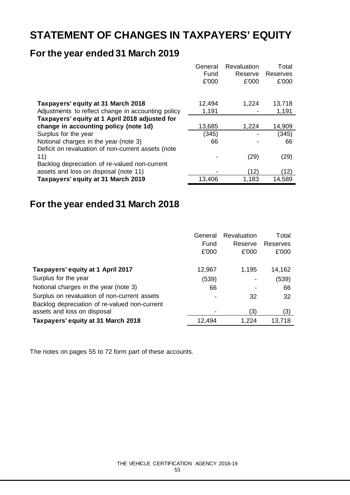## **STATEMENT OF CHANGES IN TAXPAYERS' EQUITY**

### **For the year ended 31 March 2019**

|                                                    | General | Revaluation | Total    |
|----------------------------------------------------|---------|-------------|----------|
|                                                    | Fund    | Reserve     | Reserves |
|                                                    | £'000   | £'000       | £'000    |
|                                                    |         |             |          |
| Taxpayers' equity at 31 March 2018                 | 12,494  | 1,224       | 13,718   |
| Adjustments to reflect change in accounting policy | 1,191   |             | 1,191    |
| Taxpayers' equity at 1 April 2018 adjusted for     |         |             |          |
| change in accounting policy (note 1d)              | 13,685  | 1,224       | 14,909   |
| Surplus for the year                               | (345)   |             | (345)    |
| Notional charges in the year (note 3)              | 66      |             | 66       |
| Deficit on revaluation of non-current assets (note |         |             |          |
| 11)                                                |         | (29)        | (29)     |
| Backlog depreciation of re-valued non-current      |         |             |          |
| assets and loss on disposal (note 11)              |         | (12)        | (12)     |
| Taxpayers' equity at 31 March 2019                 | 13,406  | 1,183       | 14,589   |

### **For the year ended 31 March 2018**

| General<br>Fund<br>£'000 | Revaluation<br>Reserve<br>£'000 | Total<br>Reserves<br>£'000 |
|--------------------------|---------------------------------|----------------------------|
| 12,967                   | 1,195                           | 14,162                     |
| (539)                    |                                 | (539)                      |
| 66                       |                                 | 66                         |
|                          | 32                              | 32                         |
|                          | (3)                             | (3)                        |
| 12,494                   | 1,224                           | 13,718                     |
|                          |                                 |                            |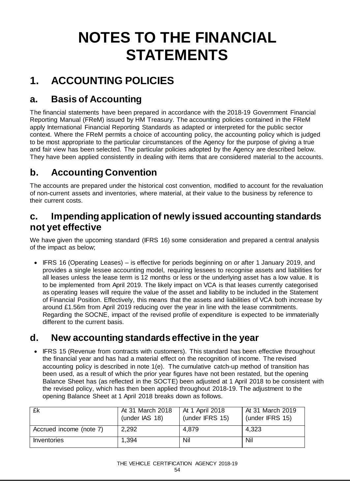# **NOTES TO THE FINANCIAL STATEMENTS**

## **1. ACCOUNTING POLICIES**

### **a. Basis of Accounting**

The financial statements have been prepared in accordance with the 2018-19 Government Financial Reporting Manual (FReM) issued by HM Treasury. The accounting policies contained in the FReM apply International Financial Reporting Standards as adapted or interpreted for the public sector context. Where the FReM permits a choice of accounting policy, the accounting policy which is judged to be most appropriate to the particular circumstances of the Agency for the purpose of giving a true and fair view has been selected. The particular policies adopted by the Agency are described below. They have been applied consistently in dealing with items that are considered material to the accounts.

### **b. Accounting Convention**

The accounts are prepared under the historical cost convention, modified to account for the revaluation of non-current assets and inventories, where material, at their value to the business by reference to their current costs.

### **c. Impending application of newly issued accounting standards not yet effective**

We have given the upcoming standard (IFRS 16) some consideration and prepared a central analysis of the impact as below;

• IFRS 16 (Operating Leases) – is effective for periods beginning on or after 1 January 2019, and provides a single lessee accounting model, requiring lessees to recognise assets and liabilities for all leases unless the lease term is 12 months or less or the underlying asset has a low value. It is to be implemented from April 2019. The likely impact on VCA is that leases currently categorised as operating leases will require the value of the asset and liability to be included in the Statement of Financial Position. Effectively, this means that the assets and liabilities of VCA both increase by around £1.56m from April 2019 reducing over the year in line with the lease commitments. Regarding the SOCNE, impact of the revised profile of expenditure is expected to be immaterially different to the current basis.

### **d. New accounting standards effective in the year**

• IFRS 15 (Revenue from contracts with customers). This standard has been effective throughout the financial year and has had a material effect on the recognition of income. The revised accounting policy is described in note 1(e). The cumulative catch-up method of transition has been used, as a result of which the prior year figures have not been restated, but the opening Balance Sheet has (as reflected in the SOCTE) been adjusted at 1 April 2018 to be consistent with the revised policy, which has then been applied throughout 2018-19. The adjustment to the opening Balance Sheet at 1 April 2018 breaks down as follows.

| £k                      | At 31 March 2018<br>(under IAS 18) | At 1 April 2018<br>(under IFRS 15) | At 31 March 2019<br>(under IFRS 15) |
|-------------------------|------------------------------------|------------------------------------|-------------------------------------|
| Accrued income (note 7) | 2,292                              | 4,879                              | 4,323                               |
| Inventories             | 1.394                              | Nil                                | Nil                                 |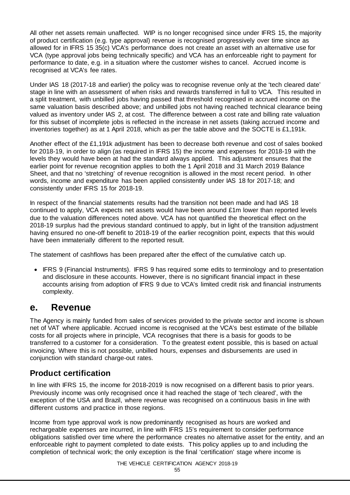All other net assets remain unaffected. WIP is no longer recognised since under IFRS 15, the majority of product certification (e.g. type approval) revenue is recognised progressively over time since as allowed for in IFRS 15 35(c) VCA's performance does not create an asset with an alternative use for VCA (type approval jobs being technically specific) and VCA has an enforceable right to payment for performance to date, e.g. in a situation where the customer wishes to cancel. Accrued income is recognised at VCA's fee rates.

Under IAS 18 (2017-18 and earlier) the policy was to recognise revenue only at the 'tech cleared date' stage in line with an assessment of when risks and rewards transferred in full to VCA. This resulted in a split treatment, with unbilled jobs having passed that threshold recognised in accrued income on the same valuation basis described above; and unbilled jobs not having reached technical clearance being valued as inventory under IAS 2, at cost. The difference between a cost rate and billing rate valuation for this subset of incomplete jobs is reflected in the increase in net assets (taking accrued income and inventories together) as at 1 April 2018, which as per the table above and the SOCTE is £1,191k.

Another effect of the £1,191k adjustment has been to decrease both revenue and cost of sales booked for 2018-19, in order to align (as required in IFRS 15) the income and expenses for 2018-19 with the levels they would have been at had the standard always applied. This adjustment ensures that the earlier point for revenue recognition applies to both the 1 April 2018 and 31 March 2019 Balance Sheet, and that no 'stretching' of revenue recognition is allowed in the most recent period. In other words, income and expenditure has been applied consistently under IAS 18 for 2017-18; and consistently under IFRS 15 for 2018-19.

In respect of the financial statements results had the transition not been made and had IAS 18 continued to apply, VCA expects net assets would have been around £1m lower than reported levels due to the valuation differences noted above. VCA has not quantified the theoretical effect on the 2018-19 surplus had the previous standard continued to apply, but in light of the transition adjustment having ensured no one-off benefit to 2018-19 of the earlier recognition point, expects that this would have been immaterially different to the reported result.

The statement of cashflows has been prepared after the effect of the cumulative catch up.

• IFRS 9 (Financial Instruments). IFRS 9 has required some edits to terminology and to presentation and disclosure in these accounts. However, there is no significant financial impact in these accounts arising from adoption of IFRS 9 due to VCA's limited credit risk and financial instruments complexity.

### **e. Revenue**

The Agency is mainly funded from sales of services provided to the private sector and income is shown net of VAT where applicable. Accrued income is recognised at the VCA's best estimate of the billable costs for all projects where in principle, VCA recognises that there is a basis for goods to be transferred to a customer for a consideration. To the greatest extent possible, this is based on actual invoicing. Where this is not possible, unbilled hours, expenses and disbursements are used in conjunction with standard charge-out rates.

### **Product certification**

In line with IFRS 15, the income for 2018-2019 is now recognised on a different basis to prior years. Previously income was only recognised once it had reached the stage of 'tech cleared', with the exception of the USA and Brazil, where revenue was recognised on a continuous basis in line with different customs and practice in those regions.

Income from type approval work is now predominantly recognised as hours are worked and rechargeable expenses are incurred, in line with IFRS 15's requirement to consider performance obligations satisfied over time where the performance creates no alternative asset for the entity, and an enforceable right to payment completed to date exists. This policy applies up to and including the completion of technical work; the only exception is the final 'certification' stage where income is

THE VEHICLE CERTIFICATION AGENCY 2018-19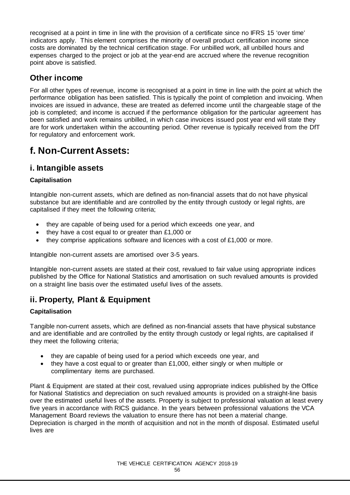recognised at a point in time in line with the provision of a certificate since no IFRS 15 'over time' indicators apply. This element comprises the minority of overall product certification income since costs are dominated by the technical certification stage. For unbilled work, all unbilled hours and expenses charged to the project or job at the year-end are accrued where the revenue recognition point above is satisfied.

### **Other income**

For all other types of revenue, income is recognised at a point in time in line with the point at which the performance obligation has been satisfied. This is typically the point of completion and invoicing. When invoices are issued in advance, these are treated as deferred income until the chargeable stage of the job is completed; and income is accrued if the performance obligation for the particular agreement has been satisfied and work remains unbilled, in which case invoices issued post year end will state they are for work undertaken within the accounting period. Other revenue is typically received from the DfT for regulatory and enforcement work.

### **f. Non-Current Assets:**

### **i. Intangible assets**

### **Capitalisation**

Intangible non-current assets, which are defined as non-financial assets that do not have physical substance but are identifiable and are controlled by the entity through custody or legal rights, are capitalised if they meet the following criteria;

- they are capable of being used for a period which exceeds one year, and
- they have a cost equal to or greater than £1,000 or
- they comprise applications software and licences with a cost of  $£1,000$  or more.

Intangible non-current assets are amortised over 3-5 years.

Intangible non-current assets are stated at their cost, revalued to fair value using appropriate indices published by the Office for National Statistics and amortisation on such revalued amounts is provided on a straight line basis over the estimated useful lives of the assets.

### **ii. Property, Plant & Equipment**

### **Capitalisation**

Tangible non-current assets, which are defined as non-financial assets that have physical substance and are identifiable and are controlled by the entity through custody or legal rights, are capitalised if they meet the following criteria;

- they are capable of being used for a period which exceeds one year, and
- they have a cost equal to or greater than £1,000, either singly or when multiple or complimentary items are purchased.

Plant & Equipment are stated at their cost, revalued using appropriate indices published by the Office for National Statistics and depreciation on such revalued amounts is provided on a straight-line basis over the estimated useful lives of the assets. Property is subject to professional valuation at least every five years in accordance with RICS guidance. In the years between professional valuations the VCA Management Board reviews the valuation to ensure there has not been a material change. Depreciation is charged in the month of acquisition and not in the month of disposal. Estimated useful lives are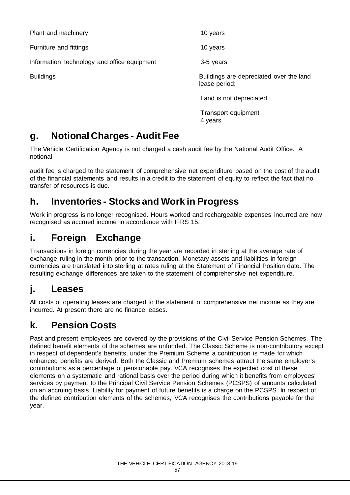Plant and machinery and the contract of the 10 years of the 10 years of the 10 years of the 10 years of the 10 years of the 10 years of the 10 years of the 10 years of the 10 years of the 10 years of the 10 years of the 10

Furniture and fittings **10** years 10 years

Information technology and office equipment 3-5 years

Buildings Buildings are depreciated over the land lease period;

Land is not depreciated.

Transport equipment 4 years

## **g. Notional Charges - Audit Fee**

The Vehicle Certification Agency is not charged a cash audit fee by the National Audit Office. A notional

audit fee is charged to the statement of comprehensive net expenditure based on the cost of the audit of the financial statements and results in a credit to the statement of equity to reflect the fact that no transfer of resources is due.

### **h. Inventories - Stocks and Work in Progress**

Work in progress is no longer recognised. Hours worked and rechargeable expenses incurred are now recognised as accrued income in accordance with IFRS 15.

## **i. Foreign Exchange**

Transactions in foreign currencies during the year are recorded in sterling at the average rate of exchange ruling in the month prior to the transaction. Monetary assets and liabilities in foreign currencies are translated into sterling at rates ruling at the Statement of Financial Position date. The resulting exchange differences are taken to the statement of comprehensive net expenditure.

## **j. Leases**

All costs of operating leases are charged to the statement of comprehensive net income as they are incurred. At present there are no finance leases.

## **k. Pension Costs**

Past and present employees are covered by the provisions of the Civil Service Pension Schemes. The defined benefit elements of the schemes are unfunded. The Classic Scheme is non-contributory except in respect of dependent's benefits, under the Premium Scheme a contribution is made for which enhanced benefits are derived. Both the Classic and Premium schemes attract the same employer's contributions as a percentage of pensionable pay. VCA recognises the expected cost of these elements on a systematic and rational basis over the period during which it benefits from employees' services by payment to the Principal Civil Service Pension Schemes (PCSPS) of amounts calculated on an accruing basis. Liability for payment of future benefits is a charge on the PCSPS. In respect of the defined contribution elements of the schemes, VCA recognises the contributions payable for the year.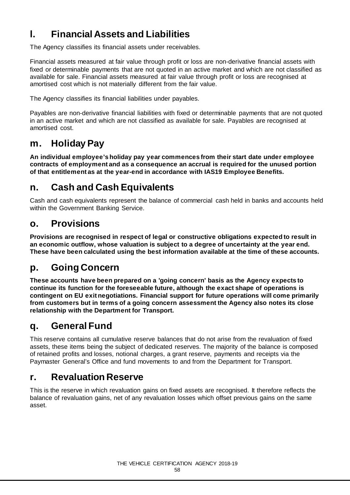## **l. Financial Assets and Liabilities**

The Agency classifies its financial assets under receivables.

Financial assets measured at fair value through profit or loss are non-derivative financial assets with fixed or determinable payments that are not quoted in an active market and which are not classified as available for sale. Financial assets measured at fair value through profit or loss are recognised at amortised cost which is not materially different from the fair value.

The Agency classifies its financial liabilities under payables.

Payables are non-derivative financial liabilities with fixed or determinable payments that are not quoted in an active market and which are not classified as available for sale. Payables are recognised at amortised cost.

### **m. Holiday Pay**

**An individual employee's holiday pay year commences from their start date under employee contracts of employment and as a consequence an accrual is required for the unused portion of that entitlement as at the year-end in accordance with IAS19 Employee Benefits.**

### **n. Cash and Cash Equivalents**

Cash and cash equivalents represent the balance of commercial cash held in banks and accounts held within the Government Banking Service.

### **o. Provisions**

**Provisions are recognised in respect of legal or constructive obligations expected to result in an economic outflow, whose valuation is subject to a degree of uncertainty at the year end. These have been calculated using the best information available at the time of these accounts.**

### **p. Going Concern**

**These accounts have been prepared on a 'going concern' basis as the Agency expects to continue its function for the foreseeable future, although the exact shape of operations is contingent on EU exit negotiations. Financial support for future operations will come primarily from customers but in terms of a going concern assessment the Agency also notes its close relationship with the Department for Transport.** 

## **q. General Fund**

This reserve contains all cumulative reserve balances that do not arise from the revaluation of fixed assets, these items being the subject of dedicated reserves. The majority of the balance is composed of retained profits and losses, notional charges, a grant reserve, payments and receipts via the Paymaster General's Office and fund movements to and from the Department for Transport.

### **r. Revaluation Reserve**

This is the reserve in which revaluation gains on fixed assets are recognised. It therefore reflects the balance of revaluation gains, net of any revaluation losses which offset previous gains on the same asset.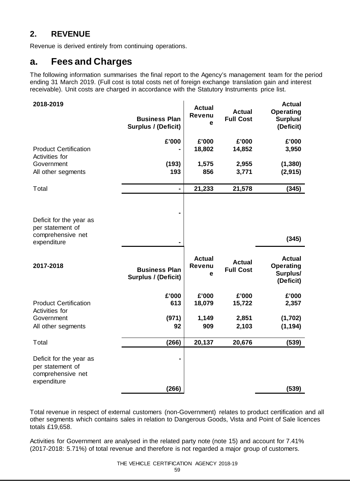### **2. REVENUE**

Revenue is derived entirely from continuing operations.

### **a. Fees and Charges**

The following information summarises the final report to the Agency's management team for the period ending 31 March 2019. (Full cost is total costs net of foreign exchange translation gain and interest receivable). Unit costs are charged in accordance with the Statutory Instruments price list.

| 2018-2019                                                                       | <b>Business Plan</b><br>Surplus / (Deficit)        | <b>Actual</b><br><b>Revenu</b><br>е | <b>Actual</b><br><b>Full Cost</b> | <b>Actual</b><br><b>Operating</b><br>Surplus/<br>(Deficit) |
|---------------------------------------------------------------------------------|----------------------------------------------------|-------------------------------------|-----------------------------------|------------------------------------------------------------|
| <b>Product Certification</b><br>Activities for                                  | £'000                                              | £'000<br>18,802                     | £'000<br>14,852                   | £'000<br>3,950                                             |
| Government<br>All other segments                                                | (193)<br>193                                       | 1,575<br>856                        | 2,955<br>3,771                    | (1, 380)<br>(2, 915)                                       |
| Total                                                                           | $\blacksquare$                                     | 21,233                              | 21,578                            | (345)                                                      |
| Deficit for the year as<br>per statement of<br>comprehensive net                |                                                    |                                     |                                   |                                                            |
| expenditure                                                                     | $\blacksquare$                                     |                                     |                                   | (345)                                                      |
| 2017-2018                                                                       | <b>Business Plan</b><br><b>Surplus / (Deficit)</b> | <b>Actual</b><br><b>Revenu</b><br>е | <b>Actual</b><br><b>Full Cost</b> | <b>Actual</b><br><b>Operating</b><br>Surplus/<br>(Deficit) |
|                                                                                 |                                                    |                                     |                                   |                                                            |
|                                                                                 | £'000                                              | £'000                               | £'000                             | £'000                                                      |
| <b>Product Certification</b>                                                    | 613                                                | 18,079                              | 15,722                            | 2,357                                                      |
| Activities for<br>Government<br>All other segments                              | (971)<br>92                                        | 1,149<br>909                        | 2,851<br>2,103                    | (1,702)<br>(1, 194)                                        |
| Total                                                                           | (266)                                              | 20,137                              | 20,676                            | (539)                                                      |
| Deficit for the year as<br>per statement of<br>comprehensive net<br>expenditure | (266)                                              |                                     |                                   | (539)                                                      |

Total revenue in respect of external customers (non-Government) relates to product certification and all other segments which contains sales in relation to Dangerous Goods, Vista and Point of Sale licences totals £19,658.

Activities for Government are analysed in the related party note (note 15) and account for 7.41% (2017-2018: 5.71%) of total revenue and therefore is not regarded a major group of customers.

### THE VEHICLE CERTIFICATION AGENCY 2018-19

59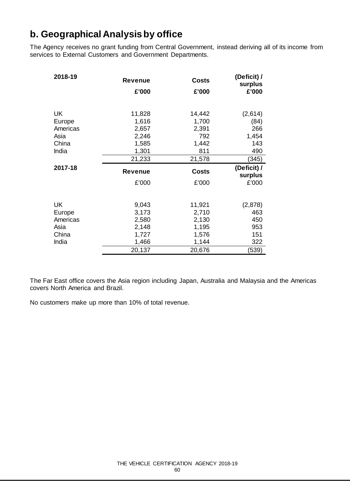### **b. Geographical Analysis by office**

The Agency receives no grant funding from Central Government, instead deriving all of its income from services to External Customers and Government Departments.

| 2018-19        | <b>Revenue</b> | <b>Costs</b>          | (Deficit) /<br>surplus |
|----------------|----------------|-----------------------|------------------------|
|                | £'000          | £'000                 | £'000                  |
|                |                |                       |                        |
| <b>UK</b>      | 11,828         | 14,442                | (2,614)                |
| Europe         | 1,616          | 1,700                 | (84)                   |
| Americas       | 2,657          | 2,391                 | 266                    |
| Asia           | 2,246          | 792                   | 1,454                  |
| China          | 1,585          | 1,442                 | 143                    |
| India          | 1,301          | 811                   | 490                    |
|                | 21,233         | 21,578                | (345)                  |
|                |                |                       |                        |
| 2017-18        | <b>Revenue</b> |                       | (Deficit) /            |
|                | £'000          | <b>Costs</b><br>£'000 | surplus<br>£'000       |
|                |                |                       |                        |
| <b>UK</b>      | 9,043          | 11,921                | (2,878)                |
| Europe         | 3,173          | 2,710                 | 463                    |
| Americas       | 2,580          | 2,130                 | 450                    |
| Asia           | 2,148          | 1,195                 | 953                    |
|                |                |                       |                        |
| China<br>India | 1,727<br>1,466 | 1,576<br>1,144        | 151<br>322             |

The Far East office covers the Asia region including Japan, Australia and Malaysia and the Americas covers North America and Brazil.

No customers make up more than 10% of total revenue.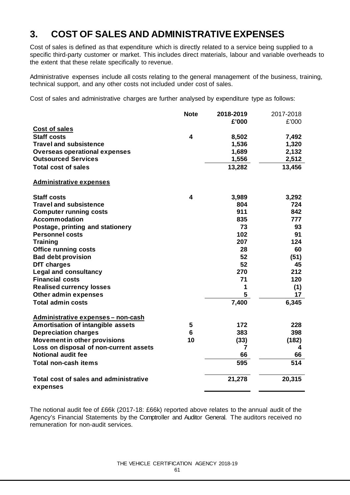### **3. COST OF SALES AND ADMINISTRATIVE EXPENSES**

Cost of sales is defined as that expenditure which is directly related to a service being supplied to a specific third-party customer or market. This includes direct materials, labour and variable overheads to the extent that these relate specifically to revenue.

Administrative expenses include all costs relating to the general management of the business, training, technical support, and any other costs not included under cost of sales.

Cost of sales and administrative charges are further analysed by expenditure type as follows:

|                                                    | <b>Note</b> | 2018-2019 | 2017-2018 |
|----------------------------------------------------|-------------|-----------|-----------|
|                                                    |             | £'000     | £'000     |
| Cost of sales                                      |             |           |           |
| <b>Staff costs</b>                                 | 4           | 8,502     | 7,492     |
| <b>Travel and subsistence</b>                      |             | 1,536     | 1,320     |
| <b>Overseas operational expenses</b>               |             | 1,689     | 2,132     |
| <b>Outsourced Services</b>                         |             | 1,556     | 2,512     |
| <b>Total cost of sales</b>                         |             | 13,282    | 13,456    |
| <b>Administrative expenses</b>                     |             |           |           |
| <b>Staff costs</b>                                 | 4           | 3,989     | 3,292     |
| <b>Travel and subsistence</b>                      |             | 804       | 724       |
| <b>Computer running costs</b>                      |             | 911       | 842       |
| Accommodation                                      |             | 835       | 777       |
| Postage, printing and stationery                   |             | 73        | 93        |
| <b>Personnel costs</b>                             |             | 102       | 91        |
| <b>Training</b>                                    |             | 207       | 124       |
| <b>Office running costs</b>                        |             | 28        | 60        |
| <b>Bad debt provision</b>                          |             | 52        | (51)      |
| DfT charges                                        |             | 52        | 45        |
| <b>Legal and consultancy</b>                       |             | 270       | 212       |
| <b>Financial costs</b>                             |             | 71        | 120       |
| <b>Realised currency losses</b>                    |             | 1         | (1)       |
| Other admin expenses                               |             | 5         | 17        |
| <b>Total admin costs</b>                           |             | 7,400     | 6,345     |
| Administrative expenses - non-cash                 |             |           |           |
| Amortisation of intangible assets                  | 5           | 172       | 228       |
| <b>Depreciation charges</b>                        | 6           | 383       | 398       |
| <b>Movement in other provisions</b>                | 10          | (33)      | (182)     |
| Loss on disposal of non-current assets             |             | 7         | 4         |
| <b>Notional audit fee</b>                          |             | 66        | 66        |
| <b>Total non-cash items</b>                        |             | 595       | 514       |
| Total cost of sales and administrative<br>expenses |             | 21,278    | 20,315    |

The notional audit fee of £66k (2017-18: £66k) reported above relates to the annual audit of the Agency's Financial Statements by the Comptroller and Auditor General. The auditors received no remuneration for non-audit services.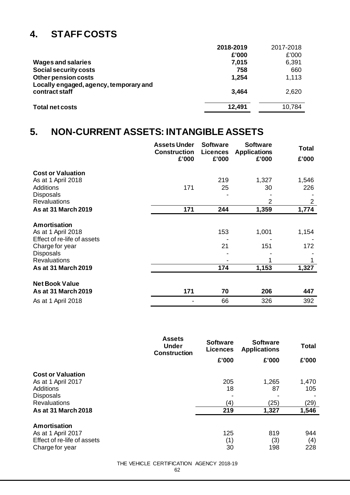## **4. STAFF COSTS**

|                                                               | 2018-2019 | 2017-2018 |
|---------------------------------------------------------------|-----------|-----------|
|                                                               | £'000     | £'000     |
| <b>Wages and salaries</b>                                     | 7,015     | 6,391     |
| Social security costs                                         | 758       | 660       |
| Other pension costs<br>Locally engaged, agency, temporary and | 1,254     | 1,113     |
| contract staff                                                | 3,464     | 2,620     |
| <b>Total net costs</b>                                        | 12,491    | 10,784    |

### **5. NON-CURRENT ASSETS: INTANGIBLE ASSETS**

|                                                                                                                                                               | <b>Assets Under</b><br><b>Construction</b><br>£'000 | <b>Software</b><br><b>Licences</b><br>£'000 | <b>Software</b><br><b>Applications</b><br>£'000 | <b>Total</b><br>£'000 |
|---------------------------------------------------------------------------------------------------------------------------------------------------------------|-----------------------------------------------------|---------------------------------------------|-------------------------------------------------|-----------------------|
| <b>Cost or Valuation</b><br>As at 1 April 2018                                                                                                                |                                                     | 219                                         | 1,327                                           | 1,546                 |
| <b>Additions</b><br><b>Disposals</b><br><b>Revaluations</b>                                                                                                   | 171                                                 | 25                                          | 30<br>2                                         | 226<br>$\overline{2}$ |
| <b>As at 31 March 2019</b>                                                                                                                                    | 171                                                 | 244                                         | 1,359                                           | 1,774                 |
| Amortisation<br>As at 1 April 2018<br>Effect of re-life of assets<br>Charge for year<br><b>Disposals</b><br><b>Revaluations</b><br><b>As at 31 March 2019</b> |                                                     | 153<br>21<br>174                            | 1,001<br>151<br>1,153                           | 1,154<br>172<br>1,327 |
| <b>Net Book Value</b><br>As at 31 March 2019                                                                                                                  | 171                                                 | 70                                          | 206                                             | 447                   |
| As at 1 April 2018                                                                                                                                            |                                                     | 66                                          | 326                                             | 392                   |

|                             | <b>Assets</b><br><b>Under</b><br><b>Construction</b> | <b>Software</b><br><b>Licences</b> | <b>Software</b><br><b>Applications</b> | <b>Total</b> |
|-----------------------------|------------------------------------------------------|------------------------------------|----------------------------------------|--------------|
|                             |                                                      | £'000                              | £'000                                  | £'000        |
| <b>Cost or Valuation</b>    |                                                      |                                    |                                        |              |
| As at 1 April 2017          |                                                      | 205                                | 1,265                                  | 1,470        |
| Additions                   |                                                      | 18                                 | 87                                     | 105          |
| <b>Disposals</b>            |                                                      |                                    |                                        |              |
| <b>Revaluations</b>         |                                                      | (4)                                | (25)                                   | (29)         |
| <b>As at 31 March 2018</b>  |                                                      | 219                                | 1,327                                  | 1,546        |
| Amortisation                |                                                      |                                    |                                        |              |
| As at 1 April 2017          |                                                      | 125                                | 819                                    | 944          |
| Effect of re-life of assets |                                                      | (1)                                | (3)                                    | (4)          |
| Charge for year             |                                                      | 30                                 | 198                                    | 228          |

#### THE VEHICLE CERTIFICATION AGENCY 2018-19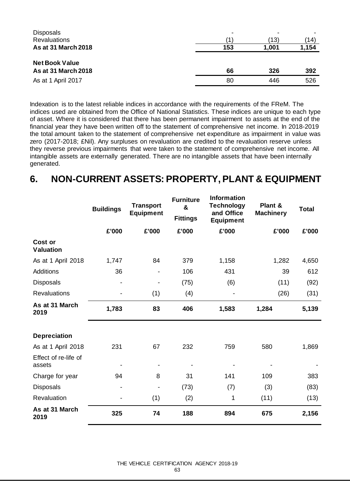| <b>Disposals</b>                                    |     |       |       |
|-----------------------------------------------------|-----|-------|-------|
| <b>Revaluations</b>                                 |     | (13)  | (14)  |
| <b>As at 31 March 2018</b>                          | 153 | 1,001 | 1,154 |
| <b>Net Book Value</b><br><b>As at 31 March 2018</b> | 66  | 326   | 392   |
| As at 1 April 2017                                  | 80  | 446   | 526   |

Indexation is to the latest reliable indices in accordance with the requirements of the FReM. The indices used are obtained from the Office of National Statistics. These indices are unique to each type of asset. Where it is considered that there has been permanent impairment to assets at the end of the financial year they have been written off to the statement of comprehensive net income. In 2018-2019 the total amount taken to the statement of comprehensive net expenditure as impairment in value was zero (2017-2018; £Nil). Any surpluses on revaluation are credited to the revaluation reserve unless they reverse previous impairments that were taken to the statement of comprehensive net income. All intangible assets are externally generated. There are no intangible assets that have been internally generated.

### **6. NON-CURRENT ASSETS: PROPERTY, PLANT & EQUIPMENT**

|                                | <b>Buildings</b>         | <b>Transport</b><br><b>Equipment</b> | <b>Furniture</b><br>&<br><b>Fittings</b> | <b>Information</b><br><b>Technology</b><br>and Office<br><b>Equipment</b> | Plant &<br><b>Machinery</b> | <b>Total</b> |
|--------------------------------|--------------------------|--------------------------------------|------------------------------------------|---------------------------------------------------------------------------|-----------------------------|--------------|
|                                | £'000                    | £'000                                | £'000                                    | £'000                                                                     | £'000                       | £'000        |
| Cost or<br><b>Valuation</b>    |                          |                                      |                                          |                                                                           |                             |              |
| As at 1 April 2018             | 1,747                    | 84                                   | 379                                      | 1,158                                                                     | 1,282                       | 4,650        |
| Additions                      | 36                       |                                      | 106                                      | 431                                                                       | 39                          | 612          |
| Disposals                      | -                        |                                      | (75)                                     | (6)                                                                       | (11)                        | (92)         |
| <b>Revaluations</b>            |                          | (1)                                  | (4)                                      |                                                                           | (26)                        | (31)         |
| As at 31 March<br>2019         | 1,783                    | 83                                   | 406                                      | 1,583                                                                     | 1,284                       | 5,139        |
| <b>Depreciation</b>            |                          |                                      |                                          |                                                                           |                             |              |
| As at 1 April 2018             | 231                      | 67                                   | 232                                      | 759                                                                       | 580                         | 1,869        |
| Effect of re-life of<br>assets |                          |                                      |                                          |                                                                           |                             |              |
| Charge for year                | 94                       | 8                                    | 31                                       | 141                                                                       | 109                         | 383          |
| Disposals                      | $\overline{\phantom{0}}$ | $\blacksquare$                       | (73)                                     | (7)                                                                       | (3)                         | (83)         |
| Revaluation                    |                          | (1)                                  | (2)                                      | 1                                                                         | (11)                        | (13)         |
| As at 31 March<br>2019         | 325                      | 74                                   | 188                                      | 894                                                                       | 675                         | 2,156        |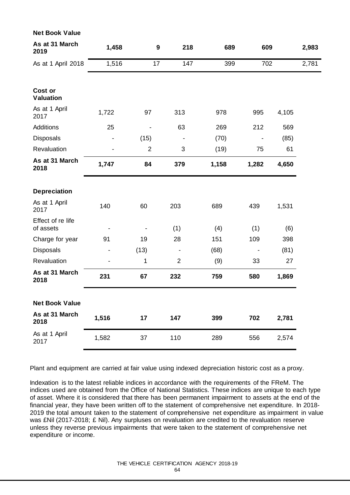| <b>Net Book Value</b>          |                              |                  |                |       |       |       |       |
|--------------------------------|------------------------------|------------------|----------------|-------|-------|-------|-------|
| As at 31 March<br>2019         | 1,458                        | $\boldsymbol{9}$ | 218            | 689   | 609   |       | 2,983 |
| As at 1 April 2018             | 1,516                        | 17               | 147            | 399   | 702   |       | 2,781 |
|                                |                              |                  |                |       |       |       |       |
| Cost or<br><b>Valuation</b>    |                              |                  |                |       |       |       |       |
| As at 1 April<br>2017          | 1,722                        | 97               | 313            | 978   | 995   | 4,105 |       |
| <b>Additions</b>               | 25                           |                  | 63             | 269   | 212   | 569   |       |
| <b>Disposals</b>               | $\qquad \qquad \blacksquare$ | (15)             |                | (70)  |       | (85)  |       |
| Revaluation                    |                              | $\overline{2}$   | 3              | (19)  | 75    | 61    |       |
| As at 31 March<br>2018         | 1,747                        | 84               | 379            | 1,158 | 1,282 | 4,650 |       |
|                                |                              |                  |                |       |       |       |       |
| <b>Depreciation</b>            |                              |                  |                |       |       |       |       |
| As at 1 April<br>2017          | 140                          | 60               | 203            | 689   | 439   | 1,531 |       |
| Effect of re life<br>of assets |                              |                  | (1)            | (4)   | (1)   | (6)   |       |
| Charge for year                | 91                           | 19               | 28             | 151   | 109   | 398   |       |
| Disposals                      | -                            | (13)             |                | (68)  |       | (81)  |       |
| Revaluation                    |                              | 1                | $\overline{2}$ | (9)   | 33    | 27    |       |
| As at 31 March<br>2018         | 231                          | 67               | 232            | 759   | 580   | 1,869 |       |
| <b>Net Book Value</b>          |                              |                  |                |       |       |       |       |
| As at 31 March<br>2018         | 1,516                        | 17               | 147            | 399   | 702   | 2,781 |       |
| As at 1 April<br>2017          | 1,582                        | 37               | 110            | 289   | 556   | 2,574 |       |

Plant and equipment are carried at fair value using indexed depreciation historic cost as a proxy.

Indexation is to the latest reliable indices in accordance with the requirements of the FReM. The indices used are obtained from the Office of National Statistics. These indices are unique to each type of asset. Where it is considered that there has been permanent impairment to assets at the end of the financial year, they have been written off to the statement of comprehensive net expenditure. In 2018- 2019 the total amount taken to the statement of comprehensive net expenditure as impairment in value was £Nil (2017-2018; £ Nil). Any surpluses on revaluation are credited to the revaluation reserve unless they reverse previous impairments that were taken to the statement of comprehensive net expenditure or income.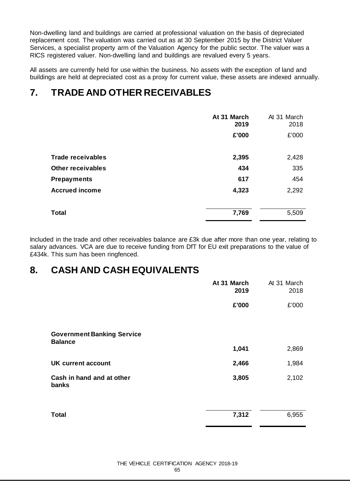Non-dwelling land and buildings are carried at professional valuation on the basis of depreciated replacement cost*.* The valuation was carried out as at 30 September 2015 by the District Valuer Services, a specialist property arm of the Valuation Agency for the public sector. The valuer was a RICS registered valuer. Non-dwelling land and buildings are revalued every 5 years.

All assets are currently held for use within the business. No assets with the exception of land and buildings are held at depreciated cost as a proxy for current value, these assets are indexed annually.

### **7. TRADE AND OTHER RECEIVABLES**

|                          | At 31 March<br>2019 | At 31 March<br>2018 |
|--------------------------|---------------------|---------------------|
|                          | £'000               | £'000               |
| <b>Trade receivables</b> | 2,395               | 2,428               |
| <b>Other receivables</b> | 434                 | 335                 |
| <b>Prepayments</b>       | 617                 | 454                 |
| <b>Accrued income</b>    | 4,323               | 2,292               |
| <b>Total</b>             | 7,769               | 5,509               |

Included in the trade and other receivables balance are £3k due after more than one year, relating to salary advances. VCA are due to receive funding from DfT for EU exit preparations to the value of £434k. This sum has been ringfenced.

### **8. CASH AND CASH EQUIVALENTS**

|                                                     | At 31 March<br>2019 | At 31 March<br>2018 |
|-----------------------------------------------------|---------------------|---------------------|
|                                                     | £'000               | £'000               |
| <b>Government Banking Service</b><br><b>Balance</b> |                     |                     |
|                                                     | 1,041               | 2,869               |
| <b>UK current account</b>                           | 2,466               | 1,984               |
| Cash in hand and at other<br>banks                  | 3,805               | 2,102               |
| <b>Total</b>                                        | 7,312               | 6,955               |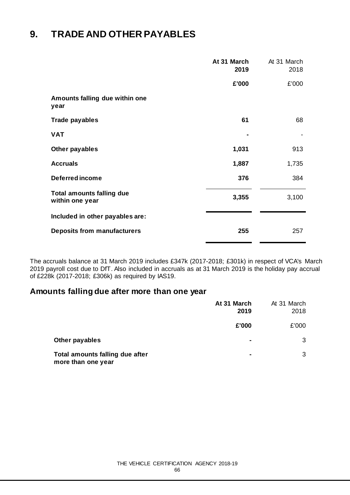### **9. TRADE AND OTHER PAYABLES**

|                                                     | At 31 March<br>2019 | At 31 March<br>2018 |
|-----------------------------------------------------|---------------------|---------------------|
|                                                     | £'000               | £'000               |
| Amounts falling due within one<br>year              |                     |                     |
| <b>Trade payables</b>                               | 61                  | 68                  |
| <b>VAT</b>                                          |                     |                     |
| Other payables                                      | 1,031               | 913                 |
| <b>Accruals</b>                                     | 1,887               | 1,735               |
| <b>Deferred income</b>                              | 376                 | 384                 |
| <b>Total amounts falling due</b><br>within one year | 3,355               | 3,100               |
| Included in other payables are:                     |                     |                     |
| <b>Deposits from manufacturers</b>                  | 255                 | 257                 |

The accruals balance at 31 March 2019 includes £347k (2017-2018; £301k) in respect of VCA's March 2019 payroll cost due to DfT. Also included in accruals as at 31 March 2019 is the holiday pay accrual of £228k (2017-2018; £306k) as required by IAS19.

### **Amounts falling due after more than one year**

|                                                       | At 31 March<br>2019 | At 31 March<br>2018 |
|-------------------------------------------------------|---------------------|---------------------|
|                                                       | £'000               | £'000               |
| Other payables                                        |                     | 3                   |
| Total amounts falling due after<br>more than one year | ٠                   | 3                   |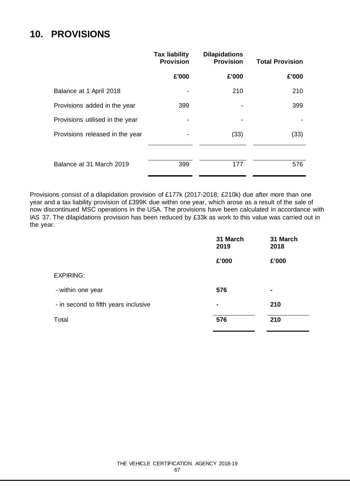### **10. PROVISIONS**

|                                 | <b>Tax liability</b><br><b>Provision</b> | <b>Dilapidations</b><br><b>Provision</b> | <b>Total Provision</b> |
|---------------------------------|------------------------------------------|------------------------------------------|------------------------|
|                                 | £'000                                    | £'000                                    | £'000                  |
| Balance at 1 April 2018         |                                          | 210                                      | 210                    |
| Provisions added in the year    | 399                                      |                                          | 399                    |
| Provisions utilised in the year |                                          |                                          |                        |
| Provisions released in the year |                                          | (33)                                     | (33)                   |
| Balance at 31 March 2019        | 399                                      | 177                                      | 576                    |

Provisions consist of a dilapidation provision of £177k (2017-2018; £210k) due after more than one year and a tax liability provision of £399K due within one year, which arose as a result of the sale of now discontinued MSC operations in the USA. The provisions have been calculated in accordance with IAS 37. The dilapidations provision has been reduced by £33k as work to this value was carried out in the year.

|                                      | 31 March<br>2019 | 31 March<br>2018 |
|--------------------------------------|------------------|------------------|
|                                      | £'000            | £'000            |
| <b>EXPIRING:</b>                     |                  |                  |
| - within one year                    | 576              | ۰                |
| - in second to fifth years inclusive | ٠                | 210              |
| Total                                | 576              | 210              |
|                                      |                  |                  |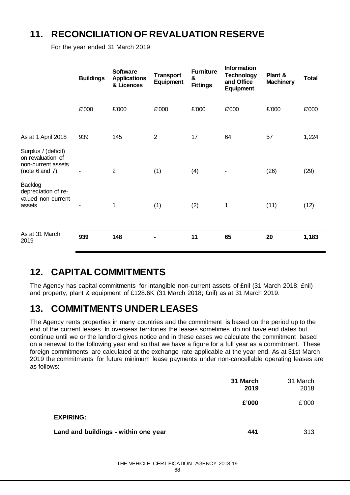### **11. RECONCILIATION OF REVALUATION RESERVE**

For the year ended 31 March 2019

|                                                                                       | <b>Buildings</b> | <b>Software</b><br><b>Applications</b><br>& Licences | <b>Transport</b><br>Equipment | <b>Furniture</b><br>&<br><b>Fittings</b> | <b>Information</b><br><b>Technology</b><br>and Office<br>Equipment | Plant &<br><b>Machinery</b> | <b>Total</b> |
|---------------------------------------------------------------------------------------|------------------|------------------------------------------------------|-------------------------------|------------------------------------------|--------------------------------------------------------------------|-----------------------------|--------------|
|                                                                                       | £'000            | £'000                                                | £'000                         | £'000                                    | £'000                                                              | £'000                       | £'000        |
| As at 1 April 2018                                                                    | 939              | 145                                                  | $\overline{2}$                | 17                                       | 64                                                                 | 57                          | 1,224        |
| Surplus / (deficit)<br>on revaluation of<br>non-current assets<br>(note $6$ and $7$ ) |                  | $\overline{2}$                                       | (1)                           | (4)                                      | ۰                                                                  | (26)                        | (29)         |
| Backlog<br>depreciation of re-<br>valued non-current<br>assets                        |                  | 1                                                    | (1)                           | (2)                                      | 1                                                                  | (11)                        | (12)         |
| As at 31 March<br>2019                                                                | 939              | 148                                                  |                               | 11                                       | 65                                                                 | 20                          | 1,183        |

### **12. CAPITAL COMMITMENTS**

The Agency has capital commitments for intangible non-current assets of £nil (31 March 2018; £nil) and property, plant & equipment of £128.6K (31 March 2018; £nil) as at 31 March 2019.

### **13. COMMITMENTS UNDER LEASES**

The Agency rents properties in many countries and the commitment is based on the period up to the end of the current leases. In overseas territories the leases sometimes do not have end dates but continue until we or the landlord gives notice and in these cases we calculate the commitment based on a renewal to the following year end so that we have a figure for a full year as a commitment. These foreign commitments are calculated at the exchange rate applicable at the year end. As at 31st March 2019 the commitments for future minimum lease payments under non-cancellable operating leases are as follows:

|                                      | 31 March<br>2019 | 31 March<br>2018 |
|--------------------------------------|------------------|------------------|
|                                      | £'000            | £'000            |
| <b>EXPIRING:</b>                     |                  |                  |
| Land and buildings - within one year | 441              | 313              |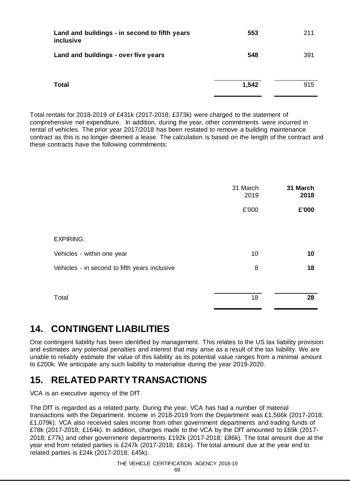| Land and buildings - in second to fifth years<br>inclusive | 553   | 211 |
|------------------------------------------------------------|-------|-----|
| Land and buildings - over five years                       | 548   | 391 |
| <b>Total</b>                                               | 1,542 | 915 |

Total rentals for 2018-2019 of £431k (2017-2018; £373k) were charged to the statement of comprehensive net expenditure. In addition, during the year, other commitments were incurred in rental of vehicles. The prior year 2017/2018 has been restated to remove a building maintenance contract as this is no longer deemed a lease. The calculation is based on the length of the contract and these contracts have the following commitments:

|                                               | 31 March<br>2019 | 31 March<br>2018 |
|-----------------------------------------------|------------------|------------------|
|                                               | £'000            | £'000            |
|                                               |                  |                  |
| <b>EXPIRING:</b>                              |                  |                  |
| Vehicles - within one year                    | 10               | 10               |
| Vehicles - in second to fifth years inclusive | 8                | 18               |
|                                               |                  |                  |
| Total                                         | 18               | 28               |

### **14. CONTINGENT LIABILITIES**

One contingent liability has been identified by management. This relates to the US tax liability provision and estimates any potential penalties and interest that may arise as a result of the tax liability. We are unable to reliably estimate the value of this liability as its potential value ranges from a minimal amount to £200k. We anticipate any such liability to materialise during the year 2019-2020.

### **15. RELATED PARTY TRANSACTIONS**

VCA is an executive agency of the DfT.

The DfT is regarded as a related party. During the year, VCA has had a number of material transactions with the Department. Income in 2018-2019 from the Department was £1,566k (2017-2018; £1,079k). VCA also received sales income from other government departments and trading funds of £78k (2017-2018; £164k). In addition, charges made to the VCA by the DfT amounted to £69k (2017- 2018; £77k) and other government departments £192k (2017-2018; £86k). The total amount due at the year end from related parties is £247k (2017-2018; £61k). The total amount due at the year end to related parties is £24k (2017-2018; £45k).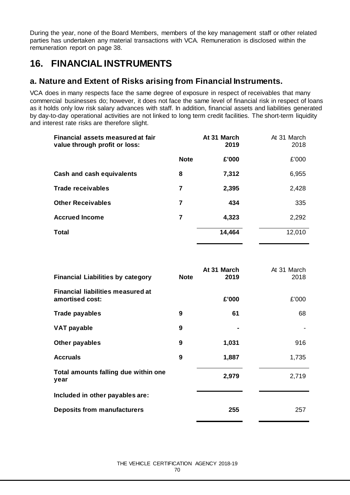During the year, none of the Board Members, members of the key management staff or other related parties has undertaken any material transactions with VCA. Remuneration is disclosed within the remuneration report on page 38.

### **16. FINANCIAL INSTRUMENTS**

### **a. Nature and Extent of Risks arising from Financial Instruments.**

VCA does in many respects face the same degree of exposure in respect of receivables that many commercial businesses do; however, it does not face the same level of financial risk in respect of loans as it holds only low risk salary advances with staff. In addition, financial assets and liabilities generated by day-to-day operational activities are not linked to long term credit facilities. The short-term liquidity and interest rate risks are therefore slight.

| Financial assets measured at fair<br>value through profit or loss: |             | At 31 March<br>2019 | At 31 March<br>2018 |
|--------------------------------------------------------------------|-------------|---------------------|---------------------|
|                                                                    | <b>Note</b> | £'000               | £'000               |
| Cash and cash equivalents                                          | 8           | 7,312               | 6,955               |
| <b>Trade receivables</b>                                           | 7           | 2,395               | 2,428               |
| <b>Other Receivables</b>                                           | 7           | 434                 | 335                 |
| <b>Accrued Income</b>                                              | 7           | 4,323               | 2,292               |
| <b>Total</b>                                                       |             | 14,464              | 12,010              |

| <b>Financial Liabilities by category</b>                    | <b>Note</b> | At 31 March<br>2019 | At 31 March<br>2018 |
|-------------------------------------------------------------|-------------|---------------------|---------------------|
| <b>Financial liabilities measured at</b><br>amortised cost: |             | £'000               | £'000               |
| <b>Trade payables</b>                                       | 9           | 61                  | 68                  |
| <b>VAT payable</b>                                          | 9           |                     |                     |
| Other payables                                              | 9           | 1,031               | 916                 |
| <b>Accruals</b>                                             | 9           | 1,887               | 1,735               |
| Total amounts falling due within one<br>year                |             | 2,979               | 2,719               |
| Included in other payables are:                             |             |                     |                     |
| <b>Deposits from manufacturers</b>                          |             | 255                 | 257                 |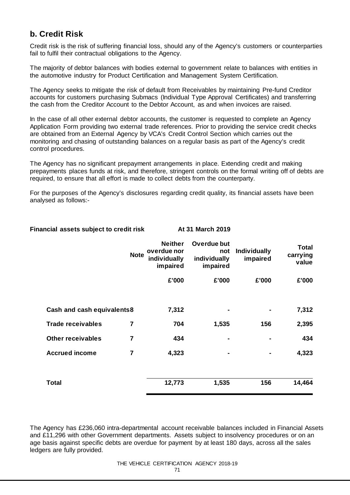### **b. Credit Risk**

Credit risk is the risk of suffering financial loss, should any of the Agency's customers or counterparties fail to fulfil their contractual obligations to the Agency.

The majority of debtor balances with bodies external to government relate to balances with entities in the automotive industry for Product Certification and Management System Certification.

The Agency seeks to mitigate the risk of default from Receivables by maintaining Pre-fund Creditor accounts for customers purchasing Submacs (Individual Type Approval Certificates) and transferring the cash from the Creditor Account to the Debtor Account, as and when invoices are raised.

In the case of all other external debtor accounts, the customer is requested to complete an Agency Application Form providing two external trade references. Prior to providing the service credit checks are obtained from an External Agency by VCA's Credit Control Section which carries out the monitoring and chasing of outstanding balances on a regular basis as part of the Agency's credit control procedures.

The Agency has no significant prepayment arrangements in place. Extending credit and making prepayments places funds at risk, and therefore, stringent controls on the formal writing off of debts are required, to ensure that all effort is made to collect debts from the counterparty.

For the purposes of the Agency's disclosures regarding credit quality, its financial assets have been analysed as follows:-

|                            | <b>Note</b>    | <b>Neither</b><br>overdue nor<br>individually<br>impaired | Overdue but<br>not<br>individually<br>impaired | <b>Individually</b><br>impaired | <b>Total</b><br>carrying<br>value |
|----------------------------|----------------|-----------------------------------------------------------|------------------------------------------------|---------------------------------|-----------------------------------|
|                            |                | £'000                                                     | £'000                                          | £'000                           | £'000                             |
| Cash and cash equivalents8 |                | 7,312                                                     | $\blacksquare$                                 |                                 | 7,312                             |
| <b>Trade receivables</b>   | 7              | 704                                                       | 1,535                                          | 156                             | 2,395                             |
| <b>Other receivables</b>   | $\overline{7}$ | 434                                                       | $\blacksquare$                                 |                                 | 434                               |
| <b>Accrued income</b>      | $\overline{7}$ | 4,323                                                     | $\blacksquare$                                 |                                 | 4,323                             |
| <b>Total</b>               |                | 12,773                                                    | 1,535                                          | 156                             | 14,464                            |

### Financial assets subject to credit risk **At 31 March 2019**

The Agency has £236,060 intra-departmental account receivable balances included in Financial Assets and £11,296 with other Government departments. Assets subject to insolvency procedures or on an age basis against specific debts are overdue for payment by at least 180 days, across all the sales ledgers are fully provided.

#### THE VEHICLE CERTIFICATION AGENCY 2018-19

71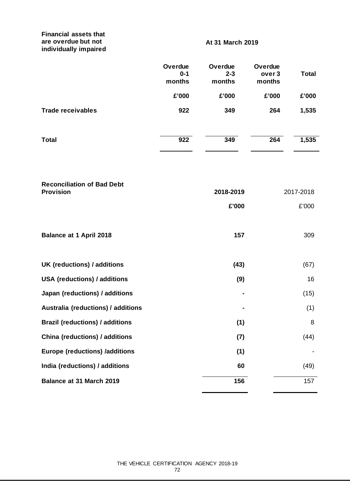### **Financial assets that are overdue but not individually impaired**

### **At 31 March 2019**

|                                        | Overdue<br>$0 - 1$<br>months<br>£'000 | Overdue<br>$2 - 3$<br>months<br>£'000 | Overdue<br>over 3<br>months<br>£'000 | <b>Total</b><br>£'000 |
|----------------------------------------|---------------------------------------|---------------------------------------|--------------------------------------|-----------------------|
| <b>Trade receivables</b>               | 922                                   | 349                                   | 264                                  | 1,535                 |
|                                        |                                       |                                       |                                      |                       |
| <b>Total</b>                           | 922                                   | 349                                   | 264                                  | 1,535                 |
| <b>Reconciliation of Bad Debt</b>      |                                       |                                       |                                      |                       |
| <b>Provision</b>                       |                                       | 2018-2019<br>£'000                    |                                      | 2017-2018             |
| <b>Balance at 1 April 2018</b>         |                                       | 157                                   |                                      | £'000<br>309          |
| UK (reductions) / additions            |                                       | (43)                                  |                                      | (67)                  |
| <b>USA (reductions) / additions</b>    |                                       | (9)                                   |                                      | 16                    |
| Japan (reductions) / additions         |                                       |                                       |                                      | (15)                  |
| Australia (reductions) / additions     |                                       |                                       |                                      | (1)                   |
| <b>Brazil (reductions) / additions</b> |                                       | (1)                                   |                                      | 8                     |
| <b>China (reductions) / additions</b>  |                                       | (7)                                   |                                      | (44)                  |
| <b>Europe (reductions) /additions</b>  |                                       | (1)                                   |                                      |                       |
| India (reductions) / additions         |                                       | 60                                    |                                      | (49)                  |
| Balance at 31 March 2019               |                                       | 156                                   |                                      | 157                   |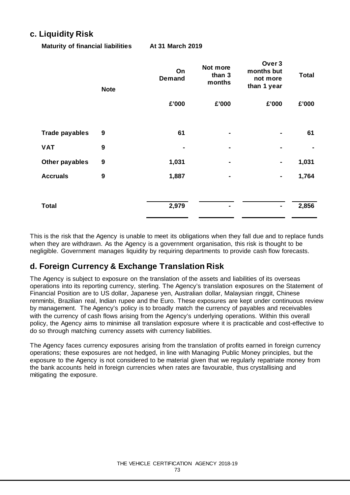## **c. Liquidity Risk**

**Maturity of financial liabilities At 31 March 2019**

|                       | <b>Note</b>      | On<br><b>Demand</b> | Not more<br>than 3<br>months | Over <sub>3</sub><br>months but<br>not more<br>than 1 year | <b>Total</b> |
|-----------------------|------------------|---------------------|------------------------------|------------------------------------------------------------|--------------|
|                       |                  | £'000               | £'000                        | £'000                                                      | £'000        |
| <b>Trade payables</b> | 9                | 61                  |                              |                                                            | 61           |
| <b>VAT</b>            | $\boldsymbol{9}$ |                     | ۰                            | ۰                                                          |              |
| Other payables        | $\boldsymbol{9}$ | 1,031               | ٠                            | ۰                                                          | 1,031        |
| <b>Accruals</b>       | $\boldsymbol{9}$ | 1,887               |                              | ۰                                                          | 1,764        |
| <b>Total</b>          |                  | 2,979               | $\blacksquare$               | ۰                                                          | 2,856        |

This is the risk that the Agency is unable to meet its obligations when they fall due and to replace funds when they are withdrawn. As the Agency is a government organisation, this risk is thought to be negligible. Government manages liquidity by requiring departments to provide cash flow forecasts.

## **d. Foreign Currency & Exchange Translation Risk**

The Agency is subject to exposure on the translation of the assets and liabilities of its overseas operations into its reporting currency, sterling. The Agency's translation exposures on the Statement of Financial Position are to US dollar, Japanese yen, Australian dollar, Malaysian ringgit, Chinese renminbi, Brazilian real, Indian rupee and the Euro. These exposures are kept under continuous review by management. The Agency's policy is to broadly match the currency of payables and receivables with the currency of cash flows arising from the Agency's underlying operations. Within this overall policy, the Agency aims to minimise all translation exposure where it is practicable and cost-effective to do so through matching currency assets with currency liabilities.

The Agency faces currency exposures arising from the translation of profits earned in foreign currency operations; these exposures are not hedged, in line with Managing Public Money principles, but the exposure to the Agency is not considered to be material given that we regularly repatriate money from the bank accounts held in foreign currencies when rates are favourable, thus crystallising and mitigating the exposure.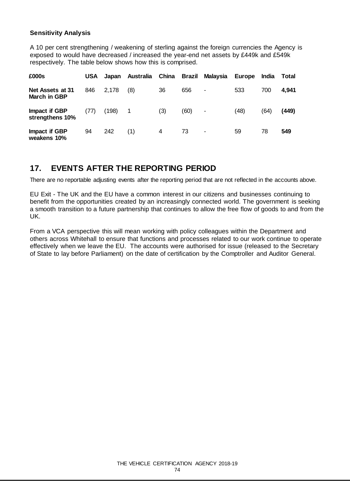## **Sensitivity Analysis**

A 10 per cent strengthening / weakening of sterling against the foreign currencies the Agency is exposed to would have decreased / increased the year-end net assets by £449k and £549k respectively. The table below shows how this is comprised.

| £000s                                   | <b>USA</b> | Japan | Australia | China | Brazil | Malaysia | Europe | India | Total |
|-----------------------------------------|------------|-------|-----------|-------|--------|----------|--------|-------|-------|
| Net Assets at 31<br><b>March in GBP</b> | 846        | 2,178 | (8)       | 36    | 656    | ٠        | 533    | 700   | 4,941 |
| Impact if GBP<br>strengthens 10%        | (77)       | (198) | 1         | (3)   | (60)   | ٠        | (48)   | (64)  | (449) |
| Impact if GBP<br>weakens 10%            | 94         | 242   | (1)       | 4     | 73     | ٠        | 59     | 78    | 549   |

## **17. EVENTS AFTER THE REPORTING PERIOD**

There are no reportable adjusting events after the reporting period that are not reflected in the accounts above.

EU Exit - The UK and the EU have a common interest in our citizens and businesses continuing to benefit from the opportunities created by an increasingly connected world. The government is seeking a smooth transition to a future partnership that continues to allow the free flow of goods to and from the UK.

From a VCA perspective this will mean working with policy colleagues within the Department and others across Whitehall to ensure that functions and processes related to our work continue to operate effectively when we leave the EU. The accounts were authorised for issue (released to the Secretary of State to lay before Parliament) on the date of certification by the Comptroller and Auditor General.